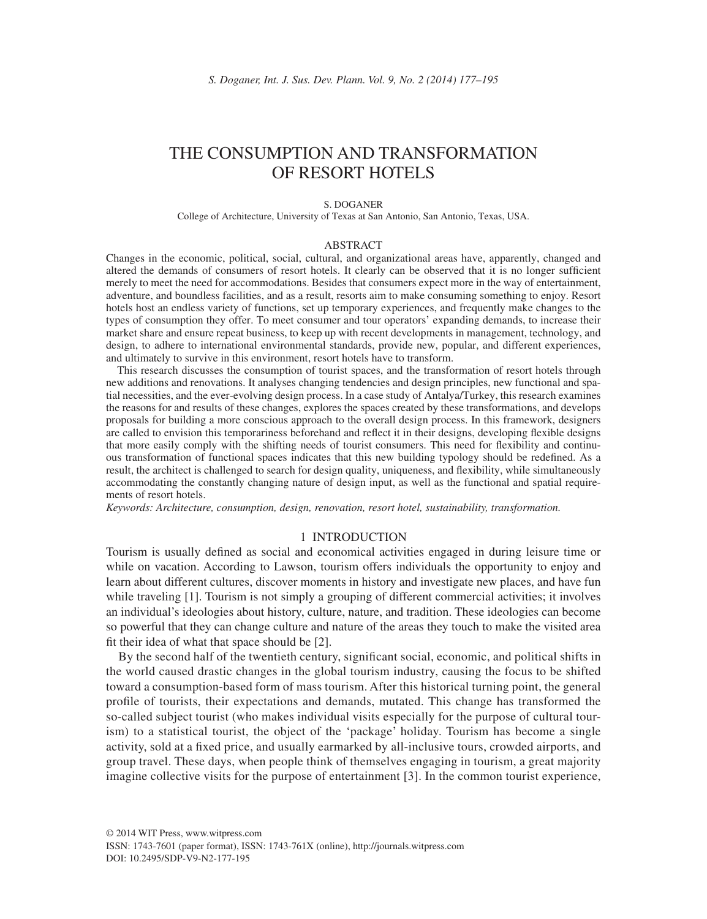# THE CONSUMPTION AND TRANSFORMATION OF RESORT HOTELS

#### S. DOGANER

College of Architecture, University of Texas at San Antonio, San Antonio, Texas, USA.

#### ABSTRACT

Changes in the economic, political, social, cultural, and organizational areas have, apparently, changed and altered the demands of consumers of resort hotels. It clearly can be observed that it is no longer sufficient merely to meet the need for accommodations. Besides that consumers expect more in the way of entertainment, adventure, and boundless facilities, and as a result, resorts aim to make consuming something to enjoy. Resort hotels host an endless variety of functions, set up temporary experiences, and frequently make changes to the types of consumption they offer. To meet consumer and tour operators' expanding demands, to increase their market share and ensure repeat business, to keep up with recent developments in management, technology, and design, to adhere to international environmental standards, provide new, popular, and different experiences, and ultimately to survive in this environment, resort hotels have to transform.

 This research discusses the consumption of tourist spaces, and the transformation of resort hotels through new additions and renovations. It analyses changing tendencies and design principles, new functional and spatial necessities, and the ever-evolving design process. In a case study of Antalya/Turkey, this research examines the reasons for and results of these changes, explores the spaces created by these transformations, and develops proposals for building a more conscious approach to the overall design process. In this framework, designers are called to envision this temporariness beforehand and reflect it in their designs, developing flexible designs that more easily comply with the shifting needs of tourist consumers. This need for flexibility and continuous transformation of functional spaces indicates that this new building typology should be redefined. As a result, the architect is challenged to search for design quality, uniqueness, and flexibility, while simultaneously accommodating the constantly changing nature of design input, as well as the functional and spatial requirements of resort hotels.

*Keywords: Architecture, consumption, design, renovation, resort hotel, sustainability, transformation.*

## 1 INTRODUCTION

Tourism is usually defined as social and economical activities engaged in during leisure time or while on vacation. According to Lawson, tourism offers individuals the opportunity to enjoy and learn about different cultures, discover moments in history and investigate new places, and have fun while traveling [1]. Tourism is not simply a grouping of different commercial activities; it involves an individual's ideologies about history, culture, nature, and tradition. These ideologies can become so powerful that they can change culture and nature of the areas they touch to make the visited area fit their idea of what that space should be  $[2]$ .

By the second half of the twentieth century, significant social, economic, and political shifts in the world caused drastic changes in the global tourism industry, causing the focus to be shifted toward a consumption-based form of mass tourism. After this historical turning point, the general profile of tourists, their expectations and demands, mutated. This change has transformed the so-called subject tourist (who makes individual visits especially for the purpose of cultural tourism) to a statistical tourist, the object of the 'package' holiday. Tourism has become a single activity, sold at a fixed price, and usually earmarked by all-inclusive tours, crowded airports, and group travel. These days, when people think of themselves engaging in tourism, a great majority imagine collective visits for the purpose of entertainment [3]. In the common tourist experience,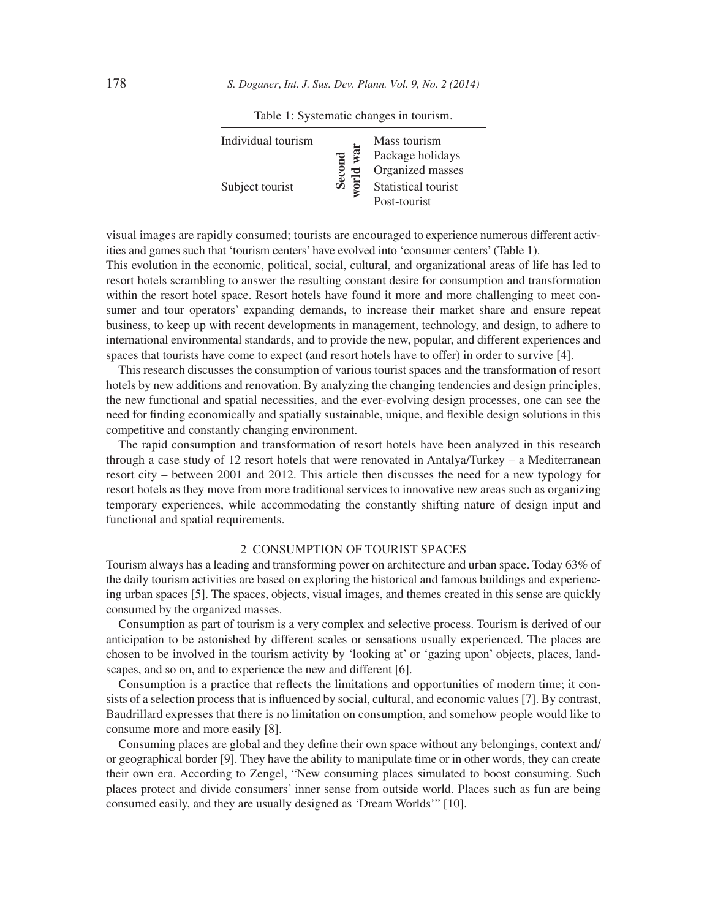| Individual tourism<br>Subject tourist |  | Mass tourism<br>Package holidays<br>Organized masses<br>Statistical tourist<br>Post-tourist |
|---------------------------------------|--|---------------------------------------------------------------------------------------------|
|---------------------------------------|--|---------------------------------------------------------------------------------------------|

Table 1: Systematic changes in tourism.

visual images are rapidly consumed; tourists are encouraged to experience numerous different activities and games such that 'tourism centers' have evolved into 'consumer centers' (Table 1).

This evolution in the economic, political, social, cultural, and organizational areas of life has led to resort hotels scrambling to answer the resulting constant desire for consumption and transformation within the resort hotel space. Resort hotels have found it more and more challenging to meet consumer and tour operators' expanding demands, to increase their market share and ensure repeat business, to keep up with recent developments in management, technology, and design, to adhere to international environmental standards, and to provide the new, popular, and different experiences and spaces that tourists have come to expect (and resort hotels have to offer) in order to survive [4].

This research discusses the consumption of various tourist spaces and the transformation of resort hotels by new additions and renovation. By analyzing the changing tendencies and design principles, the new functional and spatial necessities, and the ever-evolving design processes, one can see the need for finding economically and spatially sustainable, unique, and flexible design solutions in this competitive and constantly changing environment.

The rapid consumption and transformation of resort hotels have been analyzed in this research through a case study of 12 resort hotels that were renovated in Antalya/Turkey – a Mediterranean resort city – between 2001 and 2012. This article then discusses the need for a new typology for resort hotels as they move from more traditional services to innovative new areas such as organizing temporary experiences, while accommodating the constantly shifting nature of design input and functional and spatial requirements.

## 2 CONSUMPTION OF TOURIST SPACES

Tourism always has a leading and transforming power on architecture and urban space. Today 63% of the daily tourism activities are based on exploring the historical and famous buildings and experiencing urban spaces [5]. The spaces, objects, visual images, and themes created in this sense are quickly consumed by the organized masses.

Consumption as part of tourism is a very complex and selective process. Tourism is derived of our anticipation to be astonished by different scales or sensations usually experienced. The places are chosen to be involved in the tourism activity by 'looking at' or 'gazing upon' objects, places, landscapes, and so on, and to experience the new and different [6].

Consumption is a practice that reflects the limitations and opportunities of modern time; it consists of a selection process that is influenced by social, cultural, and economic values [7]. By contrast, Baudrillard expresses that there is no limitation on consumption, and somehow people would like to consume more and more easily [8].

Consuming places are global and they define their own space without any belongings, context and/ or geographical border [9]. They have the ability to manipulate time or in other words, they can create their own era. According to Zengel, "New consuming places simulated to boost consuming. Such places protect and divide consumers' inner sense from outside world. Places such as fun are being consumed easily, and they are usually designed as 'Dream Worlds'" [10].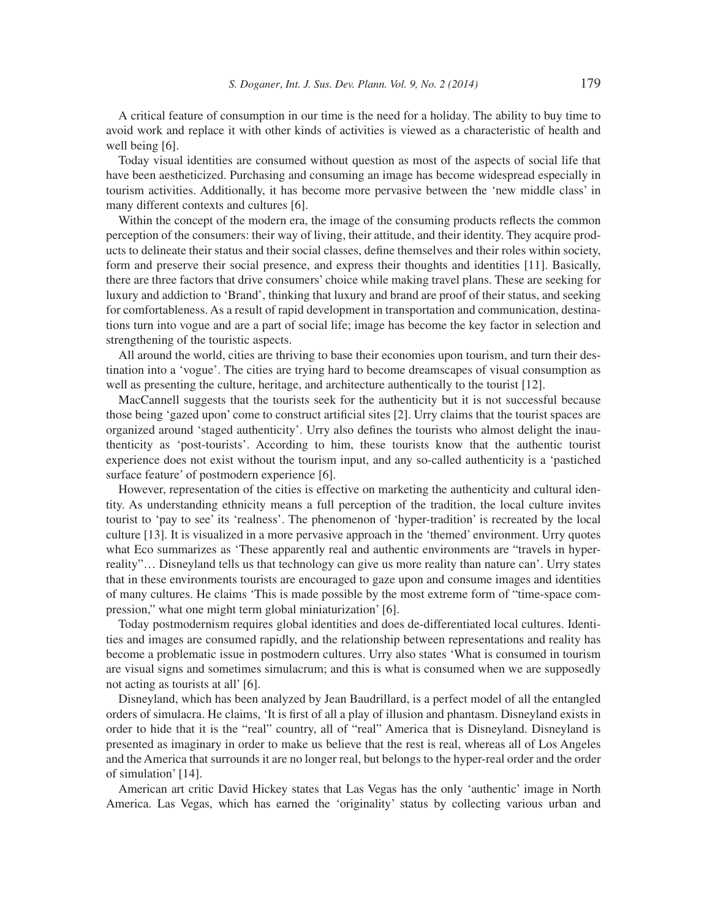A critical feature of consumption in our time is the need for a holiday. The ability to buy time to avoid work and replace it with other kinds of activities is viewed as a characteristic of health and well being [6].

Today visual identities are consumed without question as most of the aspects of social life that have been aestheticized. Purchasing and consuming an image has become widespread especially in tourism activities. Additionally, it has become more pervasive between the 'new middle class' in many different contexts and cultures [6].

Within the concept of the modern era, the image of the consuming products reflects the common perception of the consumers: their way of living, their attitude, and their identity. They acquire products to delineate their status and their social classes, define themselves and their roles within society, form and preserve their social presence, and express their thoughts and identities [11]. Basically, there are three factors that drive consumers' choice while making travel plans. These are seeking for luxury and addiction to 'Brand', thinking that luxury and brand are proof of their status, and seeking for comfortableness. As a result of rapid development in transportation and communication, destinations turn into vogue and are a part of social life; image has become the key factor in selection and strengthening of the touristic aspects.

All around the world, cities are thriving to base their economies upon tourism, and turn their destination into a 'vogue'. The cities are trying hard to become dreamscapes of visual consumption as well as presenting the culture, heritage, and architecture authentically to the tourist [12].

MacCannell suggests that the tourists seek for the authenticity but it is not successful because those being 'gazed upon' come to construct artificial sites [2]. Urry claims that the tourist spaces are organized around 'staged authenticity'. Urry also defines the tourists who almost delight the inauthenticity as 'post-tourists'. According to him, these tourists know that the authentic tourist experience does not exist without the tourism input, and any so-called authenticity is a 'pastiched surface feature' of postmodern experience [6].

However, representation of the cities is effective on marketing the authenticity and cultural identity. As understanding ethnicity means a full perception of the tradition, the local culture invites tourist to 'pay to see' its 'realness'. The phenomenon of 'hyper-tradition' is recreated by the local culture [13]. It is visualized in a more pervasive approach in the 'themed' environment. Urry quotes what Eco summarizes as 'These apparently real and authentic environments are "travels in hyperreality"… Disneyland tells us that technology can give us more reality than nature can'. Urry states that in these environments tourists are encouraged to gaze upon and consume images and identities of many cultures. He claims 'This is made possible by the most extreme form of "time-space compression," what one might term global miniaturization' [6].

Today postmodernism requires global identities and does de-differentiated local cultures. Identities and images are consumed rapidly, and the relationship between representations and reality has become a problematic issue in postmodern cultures. Urry also states 'What is consumed in tourism are visual signs and sometimes simulacrum; and this is what is consumed when we are supposedly not acting as tourists at all' [6].

Disneyland, which has been analyzed by Jean Baudrillard, is a perfect model of all the entangled orders of simulacra. He claims, 'It is first of all a play of illusion and phantasm. Disneyland exists in order to hide that it is the "real" country, all of "real" America that is Disneyland. Disneyland is presented as imaginary in order to make us believe that the rest is real, whereas all of Los Angeles and the America that surrounds it are no longer real, but belongs to the hyper-real order and the order of simulation' [14].

American art critic David Hickey states that Las Vegas has the only 'authentic' image in North America. Las Vegas, which has earned the 'originality' status by collecting various urban and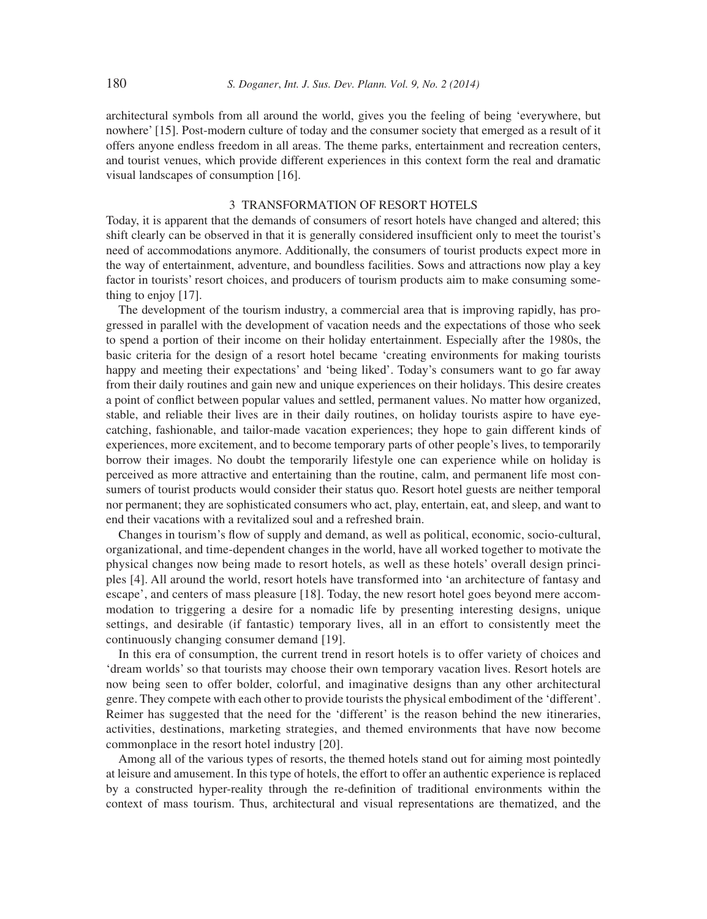architectural symbols from all around the world, gives you the feeling of being 'everywhere, but nowhere' [15]. Post-modern culture of today and the consumer society that emerged as a result of it offers anyone endless freedom in all areas. The theme parks, entertainment and recreation centers, and tourist venues, which provide different experiences in this context form the real and dramatic visual landscapes of consumption [16].

#### 3 TRANSFORMATION OF RESORT HOTELS

Today, it is apparent that the demands of consumers of resort hotels have changed and altered; this shift clearly can be observed in that it is generally considered insufficient only to meet the tourist's need of accommodations anymore. Additionally, the consumers of tourist products expect more in the way of entertainment, adventure, and boundless facilities. Sows and attractions now play a key factor in tourists' resort choices, and producers of tourism products aim to make consuming something to enjoy [17].

The development of the tourism industry, a commercial area that is improving rapidly, has progressed in parallel with the development of vacation needs and the expectations of those who seek to spend a portion of their income on their holiday entertainment. Especially after the 1980s, the basic criteria for the design of a resort hotel became 'creating environments for making tourists happy and meeting their expectations' and 'being liked'. Today's consumers want to go far away from their daily routines and gain new and unique experiences on their holidays. This desire creates a point of conflict between popular values and settled, permanent values. No matter how organized, stable, and reliable their lives are in their daily routines, on holiday tourists aspire to have eyecatching, fashionable, and tailor-made vacation experiences; they hope to gain different kinds of experiences, more excitement, and to become temporary parts of other people's lives, to temporarily borrow their images. No doubt the temporarily lifestyle one can experience while on holiday is perceived as more attractive and entertaining than the routine, calm, and permanent life most consumers of tourist products would consider their status quo. Resort hotel guests are neither temporal nor permanent; they are sophisticated consumers who act, play, entertain, eat, and sleep, and want to end their vacations with a revitalized soul and a refreshed brain.

Changes in tourism's flow of supply and demand, as well as political, economic, socio-cultural, organizational, and time-dependent changes in the world, have all worked together to motivate the physical changes now being made to resort hotels, as well as these hotels' overall design principles [4]. All around the world, resort hotels have transformed into 'an architecture of fantasy and escape', and centers of mass pleasure [18]. Today, the new resort hotel goes beyond mere accommodation to triggering a desire for a nomadic life by presenting interesting designs, unique settings, and desirable (if fantastic) temporary lives, all in an effort to consistently meet the continuously changing consumer demand [19].

In this era of consumption, the current trend in resort hotels is to offer variety of choices and 'dream worlds' so that tourists may choose their own temporary vacation lives. Resort hotels are now being seen to offer bolder, colorful, and imaginative designs than any other architectural genre. They compete with each other to provide tourists the physical embodiment of the 'different'. Reimer has suggested that the need for the 'different' is the reason behind the new itineraries, activities, destinations, marketing strategies, and themed environments that have now become commonplace in the resort hotel industry [20].

Among all of the various types of resorts, the themed hotels stand out for aiming most pointedly at leisure and amusement. In this type of hotels, the effort to offer an authentic experience is replaced by a constructed hyper-reality through the re-definition of traditional environments within the context of mass tourism. Thus, architectural and visual representations are thematized, and the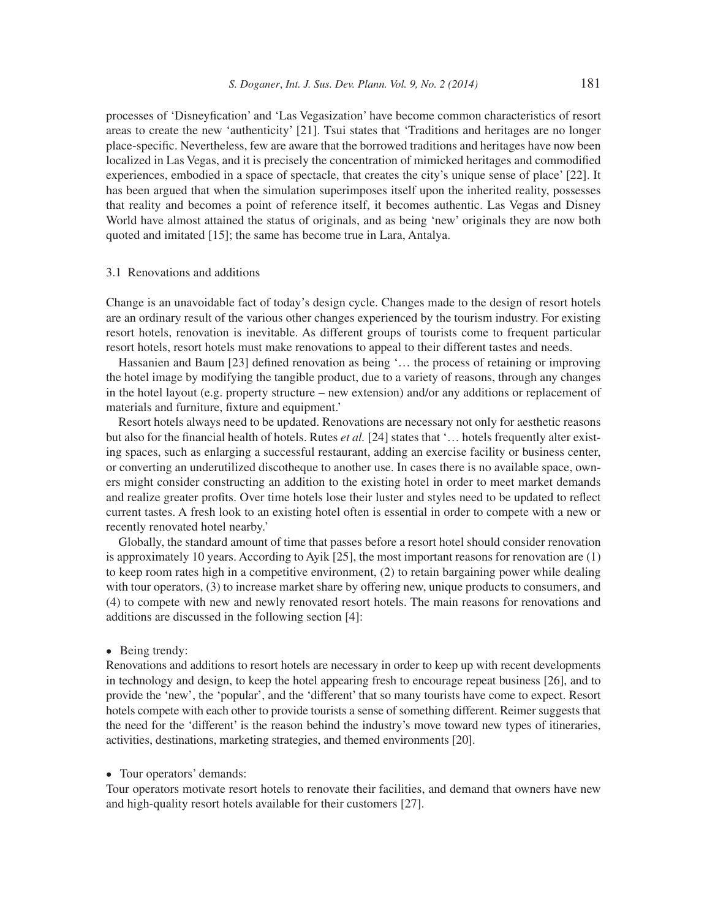processes of 'Disneyfication' and 'Las Vegasization' have become common characteristics of resort areas to create the new 'authenticity' [21]. Tsui states that 'Traditions and heritages are no longer place-specific. Nevertheless, few are aware that the borrowed traditions and heritages have now been localized in Las Vegas, and it is precisely the concentration of mimicked heritages and commodified experiences, embodied in a space of spectacle, that creates the city's unique sense of place' [22]. It has been argued that when the simulation superimposes itself upon the inherited reality, possesses that reality and becomes a point of reference itself, it becomes authentic. Las Vegas and Disney World have almost attained the status of originals, and as being 'new' originals they are now both quoted and imitated [15]; the same has become true in Lara, Antalya.

#### 3.1 Renovations and additions

Change is an unavoidable fact of today's design cycle. Changes made to the design of resort hotels are an ordinary result of the various other changes experienced by the tourism industry. For existing resort hotels, renovation is inevitable. As different groups of tourists come to frequent particular resort hotels, resort hotels must make renovations to appeal to their different tastes and needs.

Hassanien and Baum  $[23]$  defined renovation as being '... the process of retaining or improving the hotel image by modifying the tangible product, due to a variety of reasons, through any changes in the hotel layout (e.g. property structure – new extension) and/or any additions or replacement of materials and furniture, fixture and equipment.'

Resort hotels always need to be updated. Renovations are necessary not only for aesthetic reasons but also for the financial health of hotels. Rutes *et al.* [24] states that '... hotels frequently alter existing spaces, such as enlarging a successful restaurant, adding an exercise facility or business center, or converting an underutilized discotheque to another use. In cases there is no available space, owners might consider constructing an addition to the existing hotel in order to meet market demands and realize greater profits. Over time hotels lose their luster and styles need to be updated to reflect current tastes. A fresh look to an existing hotel often is essential in order to compete with a new or recently renovated hotel nearby.'

Globally, the standard amount of time that passes before a resort hotel should consider renovation is approximately 10 years. According to Ayik [25], the most important reasons for renovation are (1) to keep room rates high in a competitive environment, (2) to retain bargaining power while dealing with tour operators, (3) to increase market share by offering new, unique products to consumers, and (4) to compete with new and newly renovated resort hotels. The main reasons for renovations and additions are discussed in the following section [4]:

#### • Being trendy:

Renovations and additions to resort hotels are necessary in order to keep up with recent developments in technology and design, to keep the hotel appearing fresh to encourage repeat business [26], and to provide the 'new', the 'popular', and the 'different' that so many tourists have come to expect. Resort hotels compete with each other to provide tourists a sense of something different. Reimer suggests that the need for the 'different' is the reason behind the industry's move toward new types of itineraries, activities, destinations, marketing strategies, and themed environments [20].

#### • Tour operators' demands:

Tour operators motivate resort hotels to renovate their facilities, and demand that owners have new and high-quality resort hotels available for their customers [27].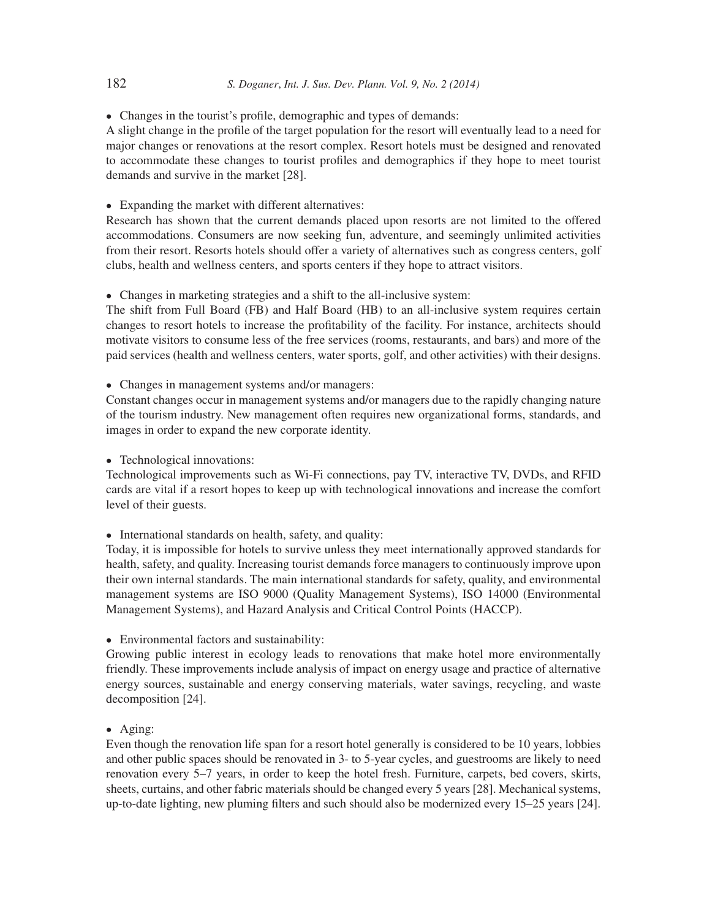• Changes in the tourist's profile, demographic and types of demands:

A slight change in the profile of the target population for the resort will eventually lead to a need for major changes or renovations at the resort complex. Resort hotels must be designed and renovated to accommodate these changes to tourist profiles and demographics if they hope to meet tourist demands and survive in the market [28].

• Expanding the market with different alternatives:

Research has shown that the current demands placed upon resorts are not limited to the offered accommodations. Consumers are now seeking fun, adventure, and seemingly unlimited activities from their resort. Resorts hotels should offer a variety of alternatives such as congress centers, golf clubs, health and wellness centers, and sports centers if they hope to attract visitors.

• Changes in marketing strategies and a shift to the all-inclusive system:

The shift from Full Board (FB) and Half Board (HB) to an all-inclusive system requires certain changes to resort hotels to increase the profitability of the facility. For instance, architects should motivate visitors to consume less of the free services (rooms, restaurants, and bars) and more of the paid services (health and wellness centers, water sports, golf, and other activities) with their designs.

• Changes in management systems and/or managers:

Constant changes occur in management systems and/or managers due to the rapidly changing nature of the tourism industry. New management often requires new organizational forms, standards, and images in order to expand the new corporate identity.

• Technological innovations:

Technological improvements such as Wi-Fi connections, pay TV, interactive TV, DVDs, and RFID cards are vital if a resort hopes to keep up with technological innovations and increase the comfort level of their guests.

• International standards on health, safety, and quality:

Today, it is impossible for hotels to survive unless they meet internationally approved standards for health, safety, and quality. Increasing tourist demands force managers to continuously improve upon their own internal standards. The main international standards for safety, quality, and environmental management systems are ISO 9000 (Quality Management Systems), ISO 14000 (Environmental Management Systems), and Hazard Analysis and Critical Control Points (HACCP).

• Environmental factors and sustainability:

Growing public interest in ecology leads to renovations that make hotel more environmentally friendly. These improvements include analysis of impact on energy usage and practice of alternative energy sources, sustainable and energy conserving materials, water savings, recycling, and waste decomposition [24].

• Aging:

Even though the renovation life span for a resort hotel generally is considered to be 10 years, lobbies and other public spaces should be renovated in 3- to 5-year cycles, and guestrooms are likely to need renovation every 5–7 years, in order to keep the hotel fresh. Furniture, carpets, bed covers, skirts, sheets, curtains, and other fabric materials should be changed every 5 years [28]. Mechanical systems, up-to-date lighting, new pluming filters and such should also be modernized every 15–25 years [24].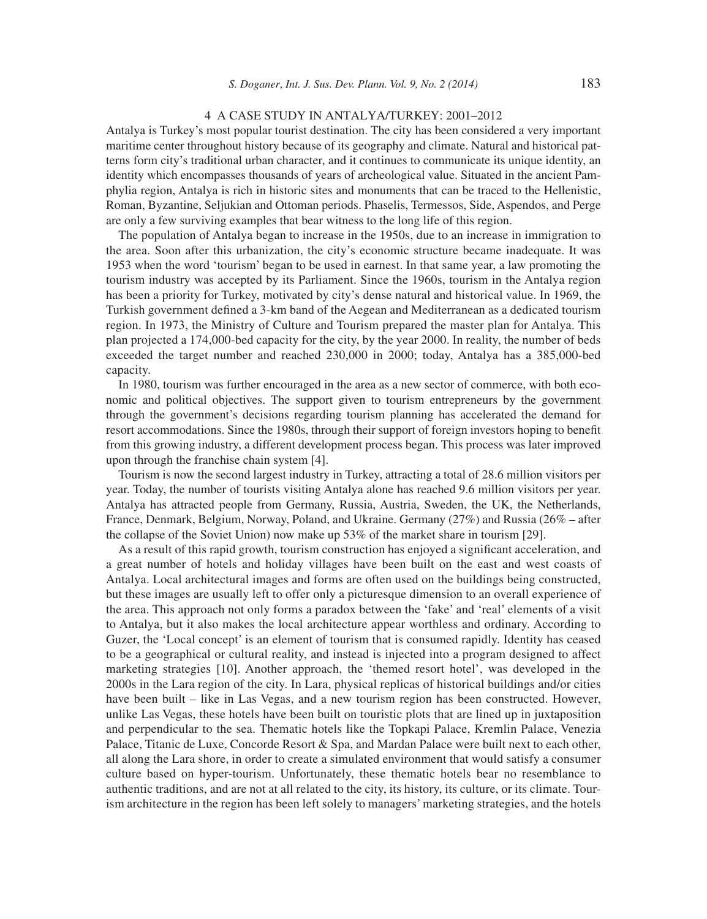#### 4 A CASE STUDY IN ANTALYA/TURKEY: 2001–2012

Antalya is Turkey's most popular tourist destination. The city has been considered a very important maritime center throughout history because of its geography and climate. Natural and historical patterns form city's traditional urban character, and it continues to communicate its unique identity, an identity which encompasses thousands of years of archeological value. Situated in the ancient Pamphylia region, Antalya is rich in historic sites and monuments that can be traced to the Hellenistic, Roman, Byzantine, Seljukian and Ottoman periods. Phaselis, Termessos, Side, Aspendos, and Perge are only a few surviving examples that bear witness to the long life of this region.

The population of Antalya began to increase in the 1950s, due to an increase in immigration to the area. Soon after this urbanization, the city's economic structure became inadequate. It was 1953 when the word 'tourism' began to be used in earnest. In that same year, a law promoting the tourism industry was accepted by its Parliament. Since the 1960s, tourism in the Antalya region has been a priority for Turkey, motivated by city's dense natural and historical value. In 1969, the Turkish government defined a 3-km band of the Aegean and Mediterranean as a dedicated tourism region. In 1973, the Ministry of Culture and Tourism prepared the master plan for Antalya. This plan projected a 174,000-bed capacity for the city, by the year 2000. In reality, the number of beds exceeded the target number and reached 230,000 in 2000; today, Antalya has a 385,000-bed capacity.

In 1980, tourism was further encouraged in the area as a new sector of commerce, with both economic and political objectives. The support given to tourism entrepreneurs by the government through the government's decisions regarding tourism planning has accelerated the demand for resort accommodations. Since the 1980s, through their support of foreign investors hoping to benefit from this growing industry, a different development process began. This process was later improved upon through the franchise chain system [4].

Tourism is now the second largest industry in Turkey, attracting a total of 28.6 million visitors per year. Today, the number of tourists visiting Antalya alone has reached 9.6 million visitors per year. Antalya has attracted people from Germany, Russia, Austria, Sweden, the UK, the Netherlands, France, Denmark, Belgium, Norway, Poland, and Ukraine. Germany (27%) and Russia (26% – after the collapse of the Soviet Union) now make up 53% of the market share in tourism [29].

As a result of this rapid growth, tourism construction has enjoyed a significant acceleration, and a great number of hotels and holiday villages have been built on the east and west coasts of Antalya. Local architectural images and forms are often used on the buildings being constructed, but these images are usually left to offer only a picturesque dimension to an overall experience of the area. This approach not only forms a paradox between the 'fake' and 'real' elements of a visit to Antalya, but it also makes the local architecture appear worthless and ordinary. According to Guzer, the 'Local concept' is an element of tourism that is consumed rapidly. Identity has ceased to be a geographical or cultural reality, and instead is injected into a program designed to affect marketing strategies [10]. Another approach, the 'themed resort hotel', was developed in the 2000s in the Lara region of the city. In Lara, physical replicas of historical buildings and/or cities have been built – like in Las Vegas, and a new tourism region has been constructed. However, unlike Las Vegas, these hotels have been built on touristic plots that are lined up in juxtaposition and perpendicular to the sea. Thematic hotels like the Topkapi Palace, Kremlin Palace, Venezia Palace, Titanic de Luxe, Concorde Resort & Spa, and Mardan Palace were built next to each other, all along the Lara shore, in order to create a simulated environment that would satisfy a consumer culture based on hyper-tourism. Unfortunately, these thematic hotels bear no resemblance to authentic traditions, and are not at all related to the city, its history, its culture, or its climate. Tourism architecture in the region has been left solely to managers' marketing strategies, and the hotels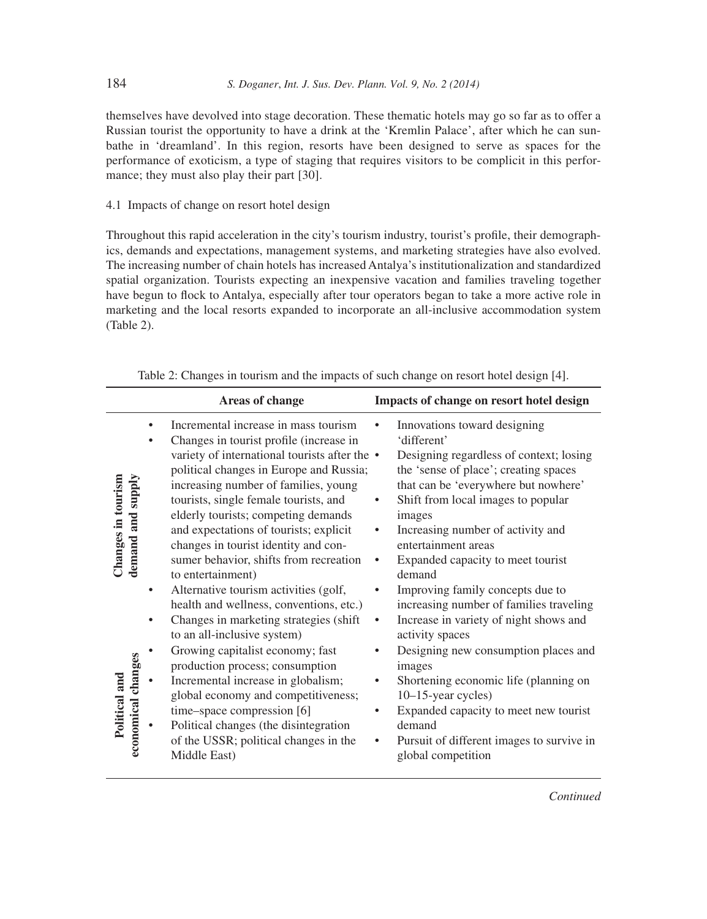themselves have devolved into stage decoration. These thematic hotels may go so far as to offer a Russian tourist the opportunity to have a drink at the 'Kremlin Palace', after which he can sunbathe in 'dreamland'. In this region, resorts have been designed to serve as spaces for the performance of exoticism, a type of staging that requires visitors to be complicit in this performance; they must also play their part [30].

## 4.1 Impacts of change on resort hotel design

Throughout this rapid acceleration in the city's tourism industry, tourist's profile, their demographics, demands and expectations, management systems, and marketing strategies have also evolved. The increasing number of chain hotels has increased Antalya's institutionalization and standardized spatial organization. Tourists expecting an inexpensive vacation and families traveling together have begun to flock to Antalya, especially after tour operators began to take a more active role in marketing and the local resorts expanded to incorporate an all-inclusive accommodation system (Table 2).

|                                                                                                  | Areas of change                                                                                                                                                                                                                                                                                                                                                                                                                                                                                                                                                                                                                                                                                                                                                                                                                              | Impacts of change on resort hotel design                                                                                                                                                                                                                                                                                                                                                                                                                                                                                                                                                                                                              |
|--------------------------------------------------------------------------------------------------|----------------------------------------------------------------------------------------------------------------------------------------------------------------------------------------------------------------------------------------------------------------------------------------------------------------------------------------------------------------------------------------------------------------------------------------------------------------------------------------------------------------------------------------------------------------------------------------------------------------------------------------------------------------------------------------------------------------------------------------------------------------------------------------------------------------------------------------------|-------------------------------------------------------------------------------------------------------------------------------------------------------------------------------------------------------------------------------------------------------------------------------------------------------------------------------------------------------------------------------------------------------------------------------------------------------------------------------------------------------------------------------------------------------------------------------------------------------------------------------------------------------|
| $\bullet$<br>Changes in tourism<br>demand and supply<br>٠<br>economical changes<br>Political and | Incremental increase in mass tourism<br>Changes in tourist profile (increase in<br>variety of international tourists after the •<br>political changes in Europe and Russia;<br>increasing number of families, young<br>tourists, single female tourists, and<br>elderly tourists; competing demands<br>and expectations of tourists; explicit<br>changes in tourist identity and con-<br>sumer behavior, shifts from recreation<br>to entertainment)<br>Alternative tourism activities (golf,<br>health and wellness, conventions, etc.)<br>Changes in marketing strategies (shift<br>to an all-inclusive system)<br>Growing capitalist economy; fast<br>production process; consumption<br>Incremental increase in globalism;<br>global economy and competitiveness;<br>time-space compression [6]<br>Political changes (the disintegration | Innovations toward designing<br>'different'<br>Designing regardless of context; losing<br>the 'sense of place'; creating spaces<br>that can be 'everywhere but nowhere'<br>Shift from local images to popular<br>images<br>Increasing number of activity and<br>entertainment areas<br>Expanded capacity to meet tourist<br>demand<br>Improving family concepts due to<br>increasing number of families traveling<br>Increase in variety of night shows and<br>activity spaces<br>Designing new consumption places and<br>images<br>Shortening economic life (planning on<br>$10-15$ -year cycles)<br>Expanded capacity to meet new tourist<br>demand |
|                                                                                                  | of the USSR; political changes in the<br>Middle East)                                                                                                                                                                                                                                                                                                                                                                                                                                                                                                                                                                                                                                                                                                                                                                                        | Pursuit of different images to survive in<br>global competition                                                                                                                                                                                                                                                                                                                                                                                                                                                                                                                                                                                       |

| Table 2: Changes in tourism and the impacts of such change on resort hotel design [4]. |  |  |  |
|----------------------------------------------------------------------------------------|--|--|--|
|----------------------------------------------------------------------------------------|--|--|--|

*Continued*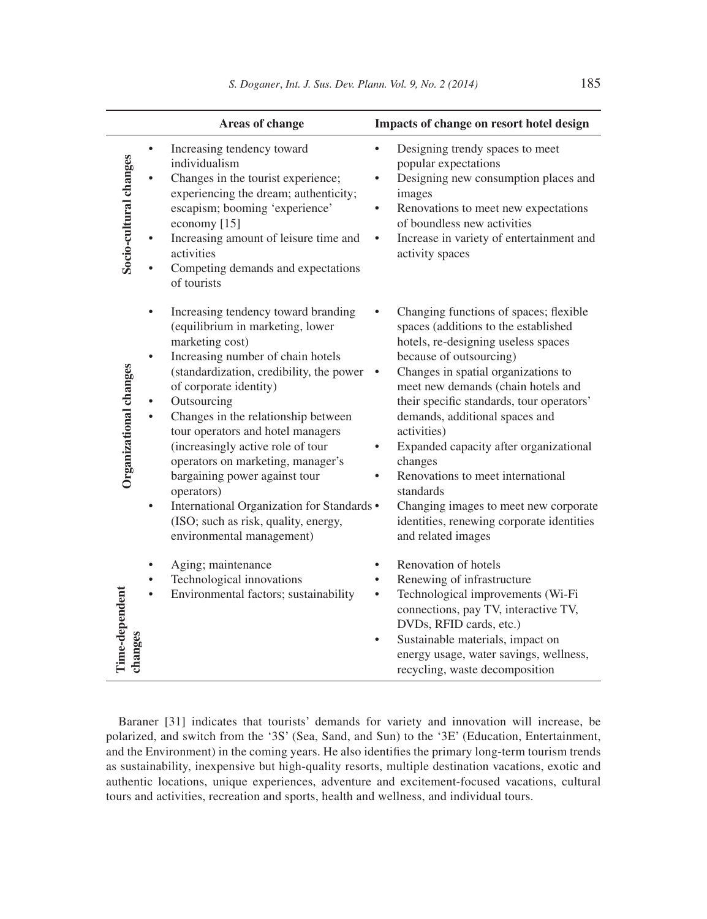$\overline{a}$ 

|                           |                                                                                                                                                                                                                                         | Areas of change                                                                                                                                                                                                                                                                                                             | Impacts of change on resort hotel design                                                                                                                                                                                                                                                                                                                                                                                                                                                                                                       |
|---------------------------|-----------------------------------------------------------------------------------------------------------------------------------------------------------------------------------------------------------------------------------------|-----------------------------------------------------------------------------------------------------------------------------------------------------------------------------------------------------------------------------------------------------------------------------------------------------------------------------|------------------------------------------------------------------------------------------------------------------------------------------------------------------------------------------------------------------------------------------------------------------------------------------------------------------------------------------------------------------------------------------------------------------------------------------------------------------------------------------------------------------------------------------------|
| Socio-cultural changes    | Increasing tendency toward<br>individualism<br>escapism; booming 'experience'<br>economy [15]<br>activities<br>of tourists                                                                                                              | Changes in the tourist experience;<br>experiencing the dream; authenticity;<br>Increasing amount of leisure time and<br>Competing demands and expectations                                                                                                                                                                  | Designing trendy spaces to meet<br>popular expectations<br>Designing new consumption places and<br>images<br>Renovations to meet new expectations<br>٠<br>of boundless new activities<br>Increase in variety of entertainment and<br>$\bullet$<br>activity spaces                                                                                                                                                                                                                                                                              |
| Organizational changes    | (equilibrium in marketing, lower<br>marketing cost)<br>$\bullet$<br>of corporate identity)<br>Outsourcing<br>$\bullet$<br>(increasingly active role of tour<br>bargaining power against tour<br>operators)<br>environmental management) | Increasing tendency toward branding<br>Increasing number of chain hotels<br>(standardization, credibility, the power<br>Changes in the relationship between<br>tour operators and hotel managers<br>operators on marketing, manager's<br>International Organization for Standards .<br>(ISO; such as risk, quality, energy, | Changing functions of spaces; flexible<br>spaces (additions to the established<br>hotels, re-designing useless spaces<br>because of outsourcing)<br>Changes in spatial organizations to<br>meet new demands (chain hotels and<br>their specific standards, tour operators'<br>demands, additional spaces and<br>activities)<br>Expanded capacity after organizational<br>changes<br>Renovations to meet international<br>standards<br>Changing images to meet new corporate<br>identities, renewing corporate identities<br>and related images |
| Time-dependent<br>changes | Aging; maintenance<br>Technological innovations                                                                                                                                                                                         | Environmental factors; sustainability                                                                                                                                                                                                                                                                                       | Renovation of hotels<br>Renewing of infrastructure<br>Technological improvements (Wi-Fi<br>connections, pay TV, interactive TV,<br>DVDs, RFID cards, etc.)<br>Sustainable materials, impact on<br>energy usage, water savings, wellness,<br>recycling, waste decomposition                                                                                                                                                                                                                                                                     |

Baraner [31] indicates that tourists' demands for variety and innovation will increase, be polarized, and switch from the '3S' (Sea, Sand, and Sun) to the '3E' (Education, Entertainment, and the Environment) in the coming years. He also identifies the primary long-term tourism trends as sustainability, inexpensive but high-quality resorts, multiple destination vacations, exotic and authentic locations, unique experiences, adventure and excitement-focused vacations, cultural tours and activities, recreation and sports, health and wellness, and individual tours.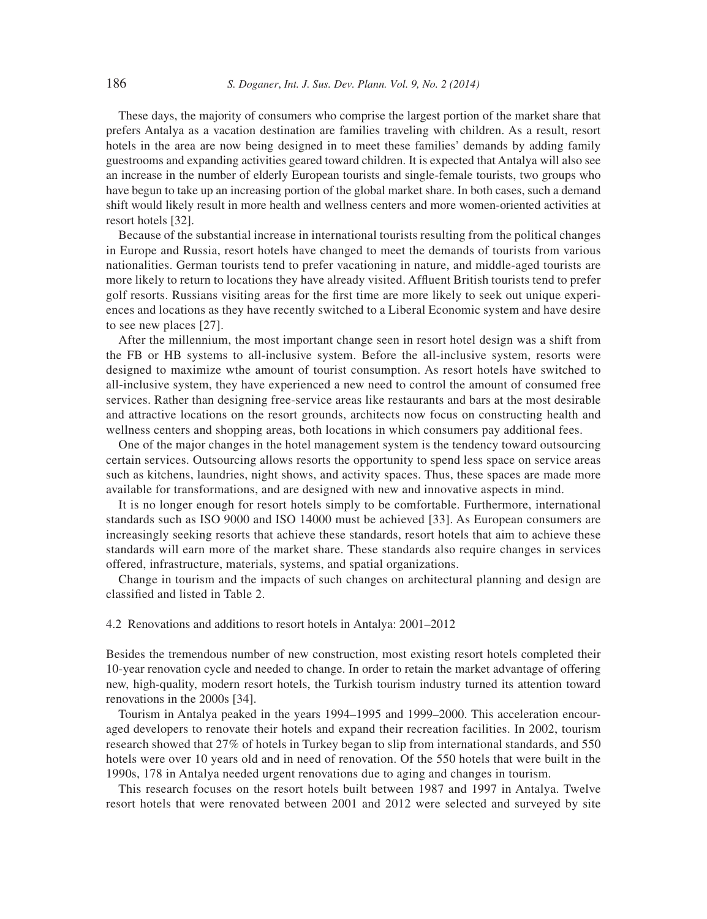These days, the majority of consumers who comprise the largest portion of the market share that prefers Antalya as a vacation destination are families traveling with children. As a result, resort hotels in the area are now being designed in to meet these families' demands by adding family guestrooms and expanding activities geared toward children. It is expected that Antalya will also see an increase in the number of elderly European tourists and single-female tourists, two groups who have begun to take up an increasing portion of the global market share. In both cases, such a demand shift would likely result in more health and wellness centers and more women-oriented activities at resort hotels [32].

Because of the substantial increase in international tourists resulting from the political changes in Europe and Russia, resort hotels have changed to meet the demands of tourists from various nationalities. German tourists tend to prefer vacationing in nature, and middle-aged tourists are more likely to return to locations they have already visited. Affluent British tourists tend to prefer golf resorts. Russians visiting areas for the first time are more likely to seek out unique experiences and locations as they have recently switched to a Liberal Economic system and have desire to see new places [27].

After the millennium, the most important change seen in resort hotel design was a shift from the FB or HB systems to all-inclusive system. Before the all-inclusive system, resorts were designed to maximize wthe amount of tourist consumption. As resort hotels have switched to all-inclusive system, they have experienced a new need to control the amount of consumed free services. Rather than designing free-service areas like restaurants and bars at the most desirable and attractive locations on the resort grounds, architects now focus on constructing health and wellness centers and shopping areas, both locations in which consumers pay additional fees.

One of the major changes in the hotel management system is the tendency toward outsourcing certain services. Outsourcing allows resorts the opportunity to spend less space on service areas such as kitchens, laundries, night shows, and activity spaces. Thus, these spaces are made more available for transformations, and are designed with new and innovative aspects in mind.

It is no longer enough for resort hotels simply to be comfortable. Furthermore, international standards such as ISO 9000 and ISO 14000 must be achieved [33]. As European consumers are increasingly seeking resorts that achieve these standards, resort hotels that aim to achieve these standards will earn more of the market share. These standards also require changes in services offered, infrastructure, materials, systems, and spatial organizations.

Change in tourism and the impacts of such changes on architectural planning and design are classified and listed in Table 2.

#### 4.2 Renovations and additions to resort hotels in Antalya: 2001–2012

Besides the tremendous number of new construction, most existing resort hotels completed their 10-year renovation cycle and needed to change. In order to retain the market advantage of offering new, high-quality, modern resort hotels, the Turkish tourism industry turned its attention toward renovations in the 2000s [34].

Tourism in Antalya peaked in the years 1994–1995 and 1999–2000. This acceleration encouraged developers to renovate their hotels and expand their recreation facilities. In 2002, tourism research showed that 27% of hotels in Turkey began to slip from international standards, and 550 hotels were over 10 years old and in need of renovation. Of the 550 hotels that were built in the 1990s, 178 in Antalya needed urgent renovations due to aging and changes in tourism.

This research focuses on the resort hotels built between 1987 and 1997 in Antalya. Twelve resort hotels that were renovated between 2001 and 2012 were selected and surveyed by site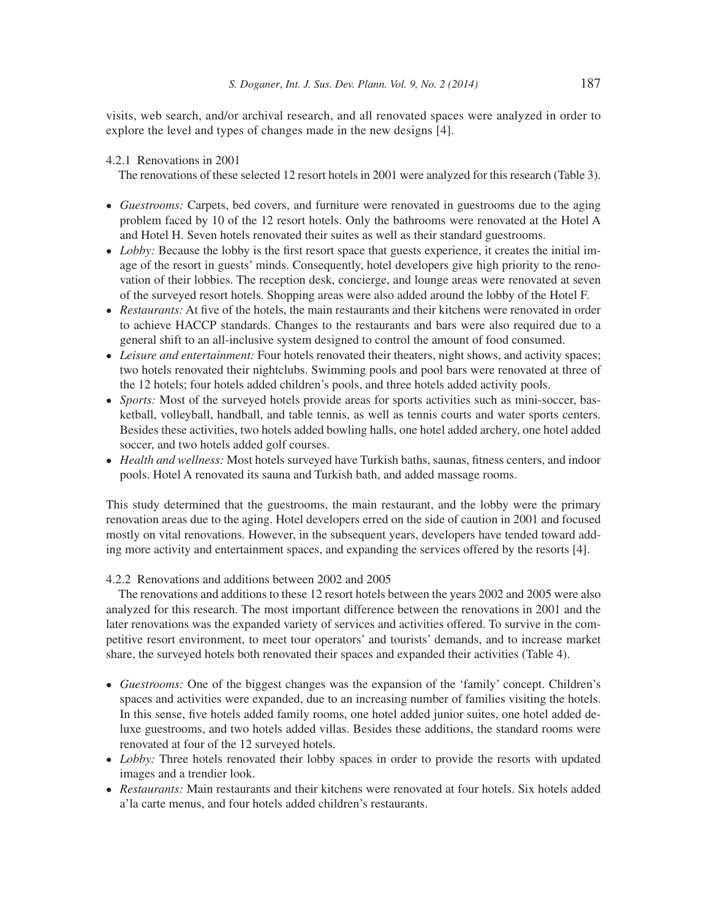visits, web search, and/or archival research, and all renovated spaces were analyzed in order to explore the level and types of changes made in the new designs [4].

## 4.2.1 Renovations in 2001

The renovations of these selected 12 resort hotels in 2001 were analyzed for this research (Table 3).

- *Guestrooms:* Carpets, bed covers, and furniture were renovated in guestrooms due to the aging problem faced by 10 of the 12 resort hotels. Only the bathrooms were renovated at the Hotel A and Hotel H. Seven hotels renovated their suites as well as their standard guestrooms.
- *Lobby:* Because the lobby is the first resort space that guests experience, it creates the initial image of the resort in guests' minds. Consequently, hotel developers give high priority to the renovation of their lobbies. The reception desk, concierge, and lounge areas were renovated at seven of the surveyed resort hotels. Shopping areas were also added around the lobby of the Hotel F.
- *Restaurants:* At five of the hotels, the main restaurants and their kitchens were renovated in order to achieve HACCP standards. Changes to the restaurants and bars were also required due to a general shift to an all-inclusive system designed to control the amount of food consumed.
- *Leisure and entertainment:* Four hotels renovated their theaters, night shows, and activity spaces; two hotels renovated their nightclubs. Swimming pools and pool bars were renovated at three of the 12 hotels; four hotels added children's pools, and three hotels added activity pools.
- *Sports:* Most of the surveyed hotels provide areas for sports activities such as mini-soccer, basketball, volleyball, handball, and table tennis, as well as tennis courts and water sports centers. Besides these activities, two hotels added bowling halls, one hotel added archery, one hotel added soccer, and two hotels added golf courses.
- *Health and wellness:* Most hotels surveyed have Turkish baths, saunas, fitness centers, and indoor pools. Hotel A renovated its sauna and Turkish bath, and added massage rooms.

This study determined that the guestrooms, the main restaurant, and the lobby were the primary renovation areas due to the aging. Hotel developers erred on the side of caution in 2001 and focused mostly on vital renovations. However, in the subsequent years, developers have tended toward adding more activity and entertainment spaces, and expanding the services offered by the resorts [4].

#### 4.2.2 Renovations and additions between 2002 and 2005

The renovations and additions to these 12 resort hotels between the years 2002 and 2005 were also analyzed for this research. The most important difference between the renovations in 2001 and the later renovations was the expanded variety of services and activities offered. To survive in the competitive resort environment, to meet tour operators' and tourists' demands, and to increase market share, the surveyed hotels both renovated their spaces and expanded their activities (Table 4).

- *Guestrooms:* One of the biggest changes was the expansion of the 'family' concept. Children's spaces and activities were expanded, due to an increasing number of families visiting the hotels. In this sense, five hotels added family rooms, one hotel added junior suites, one hotel added deluxe guestrooms, and two hotels added villas. Besides these additions, the standard rooms were renovated at four of the 12 surveyed hotels.
- *Lobby:* Three hotels renovated their lobby spaces in order to provide the resorts with updated images and a trendier look.
- *Restaurants:* Main restaurants and their kitchens were renovated at four hotels. Six hotels added a'la carte menus, and four hotels added children's restaurants.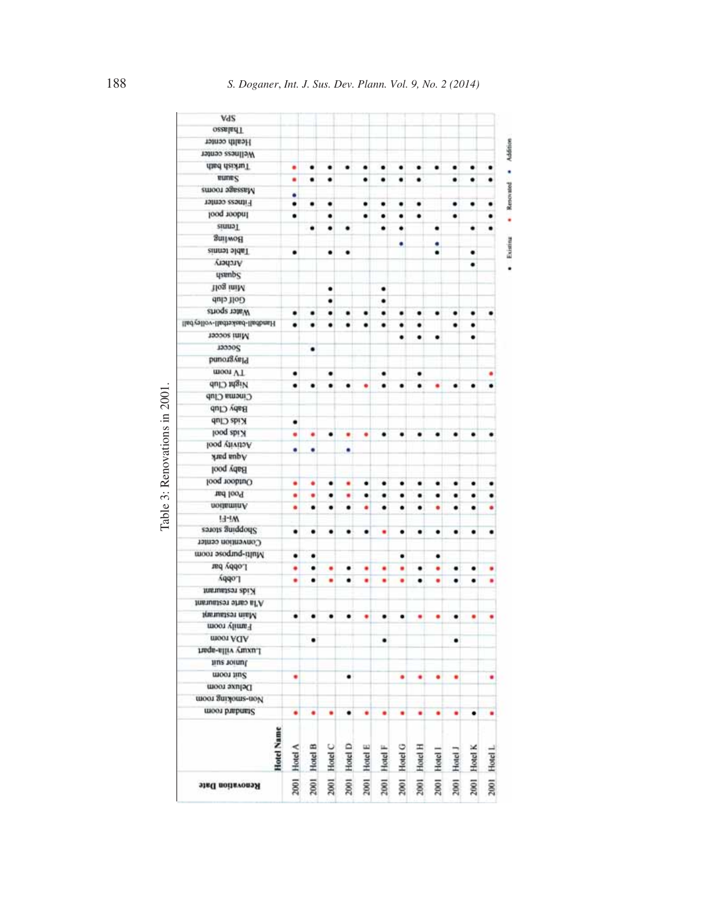| A92                            |              |              |              |              |              |              |              |              |              |              |              |              |
|--------------------------------|--------------|--------------|--------------|--------------|--------------|--------------|--------------|--------------|--------------|--------------|--------------|--------------|
| <b>OzzaladT</b>                |              |              |              |              |              |              |              |              |              |              |              |              |
| Health center                  |              |              |              |              |              |              |              |              |              |              |              |              |
| Wellness center                |              |              |              |              |              |              |              |              |              |              |              |              |
| flied deishuT                  | ٠            | ٠            | ٠            |              |              |              |              |              |              |              |              |              |
| <b>RUDES</b>                   | ٠            | ٠            | ٠            |              | ٠            | ٠            | ٠            | ٠            |              | ٠            |              |              |
| emoor agessaM                  | ٠            |              |              |              |              |              |              |              |              |              |              |              |
| Fitness center                 | ٠            | ٠            | ٠            |              | ٠            | ٠            | ٠            | ٠            |              | ٠            | ٠            |              |
| Indoor pool                    | ٠            |              | ٠            |              | ٠            |              | ٠            | ٠            |              | ٠            |              |              |
| <b>Stuup</b> <sub>L</sub>      |              | ٠            | ٠            |              |              |              |              |              |              |              | ٠            |              |
| Bowling                        |              |              |              |              |              |              |              |              |              |              |              |              |
| <b>Table tennis</b>            | ٠            |              | ٠            | ۰            |              |              |              |              |              |              | ٠            |              |
| Archery                        |              |              |              |              |              |              |              |              |              |              | ٠            |              |
| dasaup                         |              |              |              |              |              |              |              |              |              |              |              |              |
| 1log iniM                      |              |              | ٠            |              |              | ٠            |              |              |              |              |              |              |
| <b>Golf</b> club               |              |              | ٠            |              |              | ٠            |              |              |              |              |              |              |
| Water sports                   | ٠            | ٠            | ٠            | ٠            |              | ٠            | ٠            |              | ٠            |              |              |              |
| llad/ellov-lladtsikad-lladbasH |              |              | ٠            |              |              | ٠            | ٠            |              |              |              |              |              |
| Mint soccer                    |              |              |              |              |              |              | ٠            | ٠            | ٠            |              | ٠            |              |
| 100005                         |              | ٠            |              |              |              |              |              |              |              |              |              |              |
| bnougval9                      |              |              |              |              |              |              |              |              |              |              |              |              |
| шоот VT                        | ٠            |              | ٠            |              |              | ٠            |              |              |              |              |              |              |
| Night Club                     | ٠            |              |              |              |              |              |              |              |              |              |              |              |
| Cinema Club                    |              |              |              |              |              |              |              |              |              |              |              |              |
| Baby Club                      |              |              |              |              |              |              |              |              |              |              |              |              |
| Kids Club                      | ٠            |              |              |              |              |              |              |              |              |              |              |              |
| looq abi X                     | ۰            | ٠            | ٠            | ٠            | ٠            | ٠            | ٠            | ٠            | ٠            | ٠            | ٠            |              |
| <b>Jethvity</b> pool           | ۰            | ٠            |              | ۰            |              |              |              |              |              |              |              |              |
| yard unby                      |              |              |              |              |              |              |              |              |              |              |              |              |
| <b>Baby pool</b>               |              |              |              |              |              |              |              |              |              |              |              |              |
| Outdoor pool                   | ٠            | ٠            | ٠            | ٠            | ٠            | ٠            | ٠            | ٠            | ٠            | ٠            | ٠            |              |
| Ted loo <sup>q</sup>           | ٠            | ٠            | ٠            | ٠            | ٠            | ٠            | ٠            | ٠            | ٠            | ٠            | ٠            |              |
| notiaminA                      | ۰            | ٠            | ٠            | ٠            | ٠            | ٠            | ٠            | ٠            | ٠            | ٠            | ٠            | ٠            |
| <b>H-IW</b>                    |              |              |              |              |              |              |              |              |              |              |              |              |
| salots aniqqodel?              | ٠            | ٠            | ٠            | ٠            | ٠            | ٠            | ٠            | ٠            | ٠            | ٠            | ٠            | ٠            |
| Convention center              |              |              |              |              |              |              |              |              |              |              |              |              |
| Multi-purpose room             | ٠            | ۰            |              |              |              |              | ٠            |              | ٠            |              |              |              |
| Lobby bar                      | ٠            | ٠            | ٠            |              | ٠            | ٠            | ٠            | ٠            | ٠            | ٠            | ٠            | ٠            |
| vddo.                          | ٠            | ٠            | ٠            |              | ٠            | ٠            | ٠            | ٠            | ٠            | ٠            | ٠            |              |
| Intentalean abi.H              |              |              |              |              |              |              |              |              |              |              |              |              |
| A'la carte restautant          |              |              |              |              |              |              |              |              |              |              |              |              |
| Namidest maM                   | ٠            | ٠            | ٠            | ٠            | ٠            | ٠            | ٠            | ٠            | ٠            | ٠            | ٠            | ٠            |
| Family room                    |              |              |              |              |              |              |              |              |              |              |              |              |
| moon ACIA                      |              | ٠            |              |              |              | ٠            |              |              |              | ٠            |              |              |
| Luaque-alliv vuosta.           |              |              |              |              |              |              |              |              |              |              |              |              |
| tius toinul                    |              |              |              |              |              |              |              |              |              |              |              |              |
| Suit room                      |              |              |              |              |              |              |              |              |              |              |              |              |
| Deluxe room                    |              |              |              |              |              |              |              |              |              |              |              |              |
| <b>HOOT SHIMOHRS-HOP</b>       |              |              |              |              |              |              |              |              |              |              |              |              |
| <b>GUIOS DEPUBLS</b>           | ٠            | ٠            | ٠            | ٠            | ٠            | ٠            | ٠            | ٠            | ٠            | ٠            | ٠            | ٠            |
| Hotel Name                     | 2001 Hotel A | 2001 Hotel B | 2001 Hotel C | 2001 Hotel D | 2001 Hotel E | 2001 Hotel F | 2001 Hotel G | 2001 Hotel H |              |              |              |              |
| Renovation Date                |              |              |              |              |              |              |              |              | 2001 Hotel I | 2001 Hotel J | 2001 Hotel K | 2001 Hotel L |

Table 3: Renovations in 2001. Table 3: Renovations in 2001.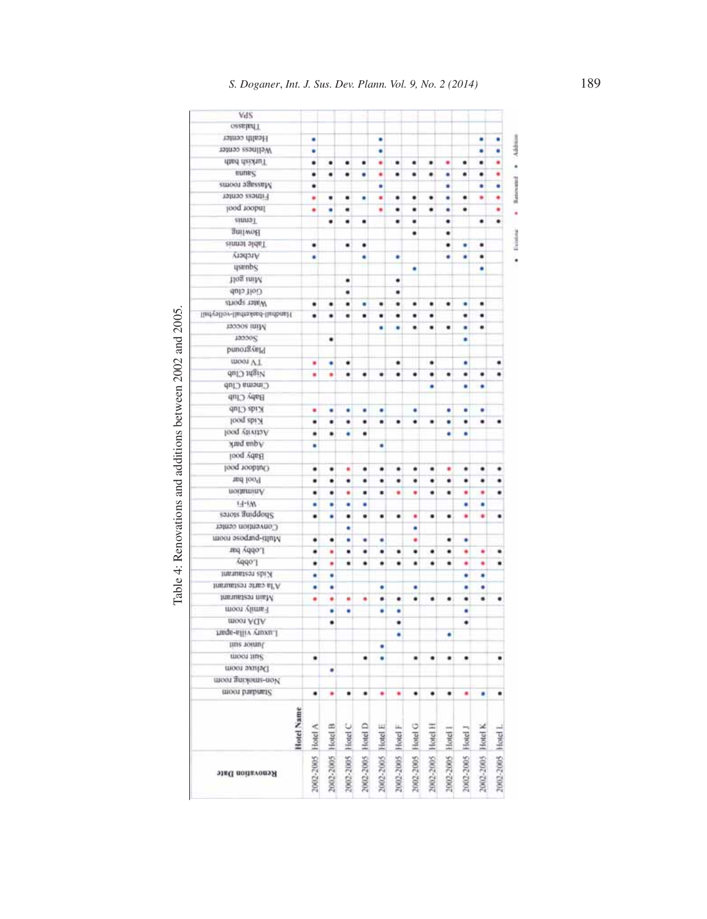| dand deishuff<br>nunes          | ٠<br>٠            | ٠<br>٠            | ٠<br>٠            | ٠<br>٠            | ٠<br>٠            | ٠<br>٠            | ٠<br>٠            | ٠<br>٠            | ٠<br>٠            | ٠<br>٠            | ٠<br>٠            | ٠                 |
|---------------------------------|-------------------|-------------------|-------------------|-------------------|-------------------|-------------------|-------------------|-------------------|-------------------|-------------------|-------------------|-------------------|
| атоот эдегелім                  | ٠                 |                   |                   |                   | ٠                 |                   |                   |                   | ٠                 |                   | ٠                 | ٠                 |
| ratness center                  | ۰                 | ٠                 | ٠                 | ٠                 | ٠                 | ٠                 | ٠                 | ٠                 | ٠                 | ٠                 | ٠                 | ٠                 |
| looq roobnl                     | ٠                 | ٥                 | ٠                 |                   | ٠                 | ٠                 | ٠                 | ٠                 | ٠                 | ٠                 |                   | ٠                 |
| einnaT                          |                   | ٠                 | ٠                 | ٠                 |                   | ٠                 | ٠                 |                   | ٠                 |                   | ٠                 |                   |
| Beilwoff                        |                   |                   |                   |                   |                   |                   | ٠                 |                   | ٠                 |                   |                   |                   |
| zinnot sldaT                    | ٠                 |                   | ٠                 | ٠                 |                   |                   |                   |                   | ٠                 | ٠                 | ٠                 |                   |
| Archery                         | ٠                 |                   |                   | ٠                 |                   | ۰                 |                   |                   | ٠                 | ٠                 | ٠                 |                   |
| desape                          |                   |                   |                   |                   |                   |                   | ٠                 |                   |                   |                   | ٠                 |                   |
| tiog iniM                       |                   |                   | ۰                 |                   |                   | ٠                 |                   |                   |                   |                   |                   |                   |
| Golf club                       |                   |                   | ۰                 |                   |                   | ٠                 |                   |                   |                   |                   |                   |                   |
| shoqe tateW                     | ٠                 | ٠                 | ٠                 | ٠                 |                   | ٠                 | ٠                 | ٠                 | ٠                 | ٠                 | ٠                 |                   |
| lindyallov-lindrażegd-lindbrażf | ٠                 | ٠                 | ٠                 |                   |                   | ۰                 | ٠                 | ٠                 |                   | ٠                 | ٠                 |                   |
| Mim soccer                      |                   |                   |                   |                   |                   |                   | ٠                 | ٠                 | ٠                 | ٠                 | ٠                 |                   |
| 100005                          |                   | ٠                 |                   |                   |                   |                   |                   |                   |                   | ٥                 |                   |                   |
| puno184mJd                      |                   |                   |                   |                   |                   |                   |                   |                   |                   |                   |                   |                   |
| шоот VT                         | ٠                 | ٠                 | ٠                 |                   |                   | ٠                 |                   | ۰                 |                   | ٥                 |                   |                   |
| Night Club                      | ٠                 | ٠                 | ٠                 | ٠                 | ٠                 | ٠                 | ٠                 | ٠                 | ٠                 | ٠                 | ٠                 |                   |
| Cinema Club                     |                   |                   |                   |                   |                   |                   |                   | ۰                 |                   | ٠                 | ٠                 |                   |
| Baby Club                       |                   |                   |                   |                   |                   |                   |                   |                   |                   |                   |                   |                   |
| Kids Club<br>food abi.A         | ۰                 | ٠                 | ٠                 | ٠                 | ٠                 |                   |                   |                   | ۰                 | ٠                 | ٠                 |                   |
| ноод уатага Р                   | ٠                 | ٠                 | ٠                 | ٠                 | ٠                 | ٠                 |                   | ٠                 | ٠                 | ٠                 | ٠                 |                   |
| Annq aup/                       | ٠                 | ٠                 | ٠                 | ٠                 |                   |                   |                   |                   | ٥                 | ٥                 |                   |                   |
| Baby pool                       | ٠                 |                   |                   |                   | ٠                 |                   |                   |                   |                   |                   |                   |                   |
| Cutdoor pool                    | ٠                 | ٠                 | ٠                 | ٠                 | ٠                 | ٠                 |                   | ٠                 | ٠                 | ٠                 | ٠                 |                   |
| Pool bar                        | ٠                 | ٠                 | ٠                 | ٠                 | ٠                 | ٠                 | ٠                 | ٠                 | ٠                 | ٠                 | ٠                 |                   |
| nomminA                         | ٠                 | ٠                 | ٠                 | ٠                 | ٠                 | ٠                 | ٠                 | ٠                 | ٠                 | ٠                 | ٠                 |                   |
| FF-FW                           | ۰                 | ٠                 | ۰                 | ۰                 |                   |                   |                   |                   |                   | ٠                 | ٠                 |                   |
| sajois aniqqod?                 | ٠                 | ۰                 | ٠                 | ٠                 | ٠                 | ٠                 | ٠                 | ٠                 | ٠                 | ٠                 | ٠                 | ٠                 |
| Convention center               |                   |                   | ۰                 |                   |                   |                   | ٠                 |                   |                   |                   |                   |                   |
| <b>unoor asoqueq-itluM</b>      | ٠                 | ٠                 | ٠                 | ٠                 | ٠                 |                   | ٠                 |                   | ٠                 | ٠                 |                   |                   |
| Lobby bar                       | ٠                 | ٠                 | ٠                 | ٠                 | ٠                 | ٠                 | ٠                 | ٠                 | ٠                 | ٠                 | ٠                 | ٠                 |
| vddo.1                          | ٠                 | ٠                 | ٠                 | ٠                 | ٠                 | ٠                 | ۰                 | ٠                 | ۰                 | ٠                 | ٠                 |                   |
| пигшитеги ері Х                 | ٠                 | ٠                 |                   |                   |                   |                   |                   |                   |                   | ۰                 | ٠                 |                   |
| A'la carte restaurant           | ٠                 | ٠                 |                   |                   | ۰                 |                   | ٠                 |                   |                   | ۰                 | ٠                 |                   |
| htmuustest mutM                 | ٠                 | ٠                 | ٠                 | ۰                 | ٠                 | ٠                 | ٠                 | ٠                 | ٠                 | ٠                 | ٠                 | ٠                 |
| Family room                     |                   | ۰                 | ٠                 |                   | ٠                 | ۰                 |                   |                   |                   | ٥                 |                   |                   |
| ADA room                        |                   | ٠                 |                   |                   |                   | ٠                 |                   |                   |                   | ۰                 |                   |                   |
| man-aliiv yuxu                  |                   |                   |                   |                   |                   | ۰                 |                   |                   | ۰                 |                   |                   |                   |
| tius yound.                     |                   |                   |                   |                   | ٠                 |                   |                   |                   |                   |                   |                   |                   |
| moot jiuz                       | ٠                 |                   |                   | ٠                 | ۰                 |                   | ٠                 |                   | ٠                 | ٠                 |                   |                   |
| Deluxe room                     |                   |                   |                   |                   |                   |                   |                   |                   |                   |                   |                   |                   |
| шоол Тиглошь-под                |                   |                   |                   |                   |                   |                   |                   |                   |                   |                   |                   |                   |
| <b>WOOD DIRPORTS</b>            |                   | ٠                 | ٠                 | ٠                 | ۰                 | ٠                 |                   |                   | ٠                 | ٠                 | ۰                 | ٠                 |
| Hotel Name                      | 2002-2005 Hotel A | 2002-2005 Hotel B | 2002-2005 Hotel C | 2002-2005 Hotel D | 2002-2005 Hotel E |                   |                   |                   |                   |                   |                   |                   |
| <b>Nemovation Date</b>          |                   |                   |                   |                   |                   | 2002-2005 Hotel F | 2002-2005 Hotel G | 2002-2005 Hotel H | 2002-2005 Hotel I | 2002-2005 Hotel J | 2002-2005 Hotel K | 2002-2005 Hotel L |

Table 4: Renovations and additions between 2002 and 2005. Table 4: Renovations and additions between 2002 and 2005.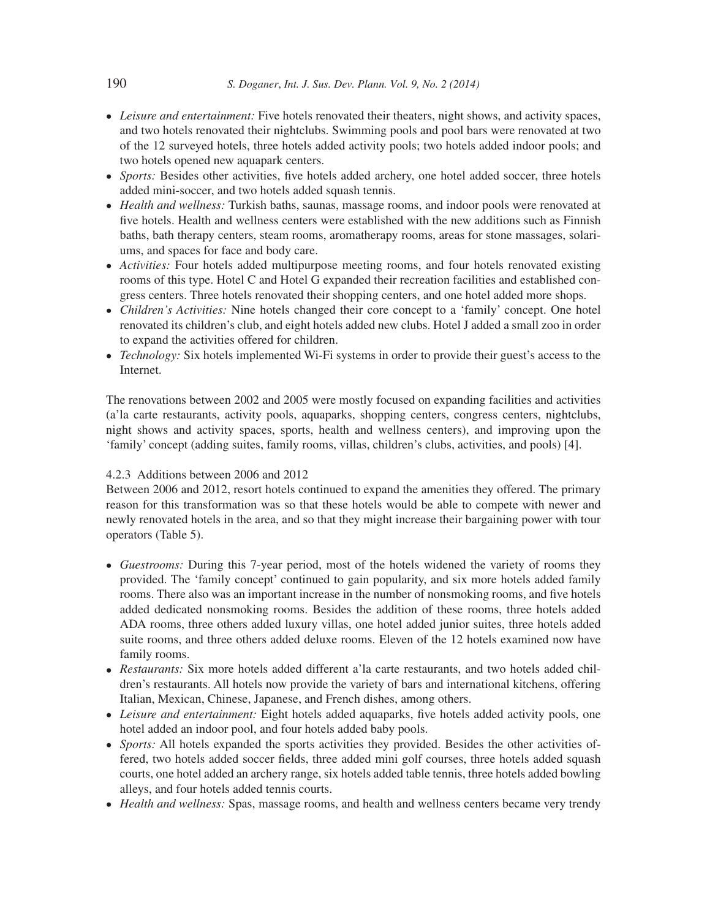- *Leisure and entertainment:* Five hotels renovated their theaters, night shows, and activity spaces, and two hotels renovated their nightclubs. Swimming pools and pool bars were renovated at two of the 12 surveyed hotels, three hotels added activity pools; two hotels added indoor pools; and two hotels opened new aquapark centers.
- Sports: Besides other activities, five hotels added archery, one hotel added soccer, three hotels added mini-soccer, and two hotels added squash tennis.
- *Health and wellness:* Turkish baths, saunas, massage rooms, and indoor pools were renovated at five hotels. Health and wellness centers were established with the new additions such as Finnish baths, bath therapy centers, steam rooms, aromatherapy rooms, areas for stone massages, solariums, and spaces for face and body care.
- *Activities:* Four hotels added multipurpose meeting rooms, and four hotels renovated existing rooms of this type. Hotel C and Hotel G expanded their recreation facilities and established congress centers. Three hotels renovated their shopping centers, and one hotel added more shops.
- *Children's Activities:* Nine hotels changed their core concept to a 'family' concept. One hotel renovated its children's club, and eight hotels added new clubs. Hotel J added a small zoo in order to expand the activities offered for children.
- *Technology:* Six hotels implemented Wi-Fi systems in order to provide their guest's access to the Internet.

The renovations between 2002 and 2005 were mostly focused on expanding facilities and activities (a'la carte restaurants, activity pools, aquaparks, shopping centers, congress centers, nightclubs, night shows and activity spaces, sports, health and wellness centers), and improving upon the 'family' concept (adding suites, family rooms, villas, children's clubs, activities, and pools) [4].

### 4.2.3 Additions between 2006 and 2012

Between 2006 and 2012, resort hotels continued to expand the amenities they offered. The primary reason for this transformation was so that these hotels would be able to compete with newer and newly renovated hotels in the area, and so that they might increase their bargaining power with tour operators (Table 5).

- *Guestrooms:* During this 7-year period, most of the hotels widened the variety of rooms they provided. The 'family concept' continued to gain popularity, and six more hotels added family rooms. There also was an important increase in the number of nonsmoking rooms, and five hotels added dedicated nonsmoking rooms. Besides the addition of these rooms, three hotels added ADA rooms, three others added luxury villas, one hotel added junior suites, three hotels added suite rooms, and three others added deluxe rooms. Eleven of the 12 hotels examined now have family rooms.
- *Restaurants:* Six more hotels added different a'la carte restaurants, and two hotels added children's restaurants. All hotels now provide the variety of bars and international kitchens, offering Italian, Mexican, Chinese, Japanese, and French dishes, among others.
- Leisure and entertainment: Eight hotels added aquaparks, five hotels added activity pools, one hotel added an indoor pool, and four hotels added baby pools.
- *Sports:* All hotels expanded the sports activities they provided. Besides the other activities offered, two hotels added soccer fields, three added mini golf courses, three hotels added squash courts, one hotel added an archery range, six hotels added table tennis, three hotels added bowling alleys, and four hotels added tennis courts.
- *Health and wellness:* Spas, massage rooms, and health and wellness centers became very trendy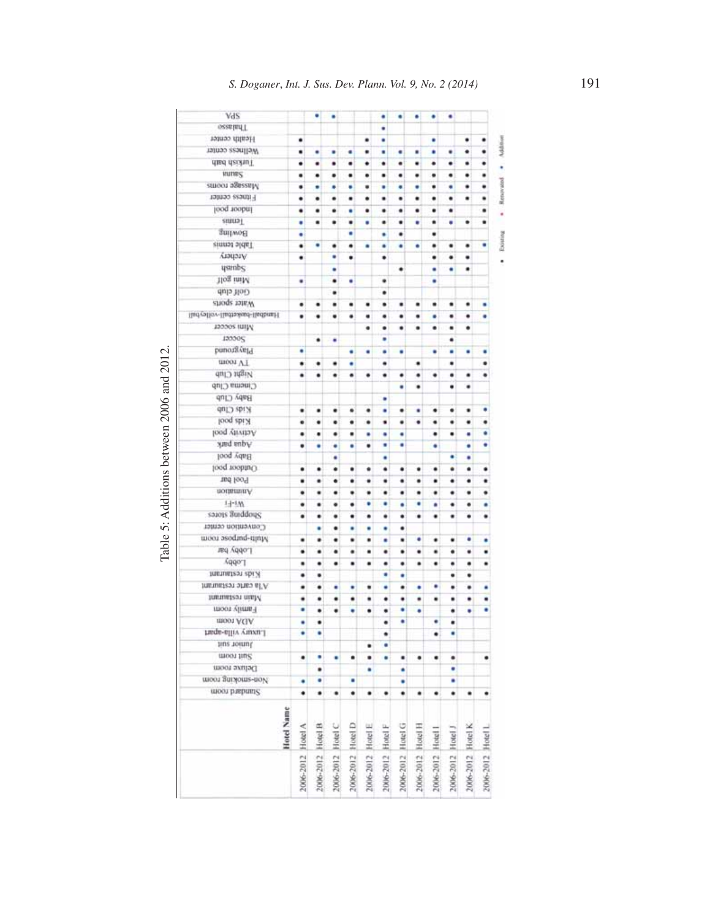| VdS                                |                   | ٠                 |                   |                   |                   | ٠                 |                   | ۰                 | ٠                 | ٠                 |                   |                   |
|------------------------------------|-------------------|-------------------|-------------------|-------------------|-------------------|-------------------|-------------------|-------------------|-------------------|-------------------|-------------------|-------------------|
| <b>ORSEBELL</b>                    |                   |                   |                   |                   |                   | ٠                 |                   |                   |                   |                   |                   |                   |
| Health center                      | ٠                 |                   |                   |                   | ٠                 | ٠                 |                   |                   | ٠                 |                   | ٠                 |                   |
| Wellness center                    | ٠                 | ٠                 | ٠                 | ٠                 | ٠                 | ٠                 | ٠                 | ٠                 | ٠                 | ٠                 | ۰                 | Addition<br>٠     |
| diad daizhuT                       | ٠                 | ٠                 | ٠                 | ٠                 | ٠                 | ٠                 | ٠                 | ٠                 | ٠                 | ٠                 | ٠                 | ٠                 |
| <b>HIUDES</b>                      | ٠                 | ٠                 | ٠                 | ٠                 | ٠                 | ٠                 | ٠                 | ٠                 | ٠                 | ٠                 | ٠                 | ۰<br>٠            |
| Massage rooms                      | ٠                 | ٠                 | ٠                 | ۰                 | ٠                 | ٠                 | ۰                 | ٠                 | ٠                 | ٠                 | ٠                 | Renavalod<br>٠    |
| Fitness center                     | ٠                 | ٠                 | ٠                 | ٠                 | ۰                 | ٠                 | ٠                 | ٠                 | ٠                 | ٠                 | ٠                 |                   |
| Indoor pool                        | ٠                 | ٠                 | ٠                 | ٠                 | ٠                 | ٠                 | ۰                 | ٠                 | ٠                 | ٠                 |                   | ۰                 |
| ennaT                              | ۰                 | ٠                 | ٠                 | ٠                 | ٠                 | ٠                 | ٠                 | ۰                 | ٠                 | ۰                 | ٠                 | ٠                 |
| Bowling                            | ٠                 |                   |                   | ۰                 |                   | ٠                 | ٠                 |                   | ٠                 |                   |                   |                   |
| Table tennis                       | ٠                 | ٠                 | ٠                 | ۰                 | ٠                 | ٠                 | ٠                 | ۰                 | ٠                 | ٠                 | ٠                 | Existing<br>c     |
| AradatA                            | ٠                 |                   | ٠                 | ۰                 |                   | ٠                 |                   |                   | ٠                 | ٠                 | ٠                 |                   |
| <i>usmbs</i>                       |                   |                   | ٠                 |                   |                   |                   | ٠                 |                   | ٠                 | ۰                 | ٠                 |                   |
| Mun golf                           | ٠                 |                   | ٠                 | ۰                 |                   | ٠                 |                   |                   | ۰                 |                   |                   |                   |
| <b>Golf</b> club                   |                   |                   | ٠                 |                   |                   | ٠                 |                   |                   |                   |                   |                   |                   |
| viner sports                       | ٠                 | ٠                 | ٠                 | ٠                 | ٠                 | ٠                 | ٠                 | ٠                 | ٠                 | ٠                 | ٠                 |                   |
| liad-callor-liadtasioad-liadbraiff | ٠                 | ٠                 | ٠                 | ٠                 | ٠                 | ۰                 | ٠                 | ٠                 | ٠                 | ٠                 | ٠                 | ٠                 |
| Mini soccer                        |                   |                   |                   |                   | ٠                 | ٠                 | ۰                 | ٠                 | ٠                 | ٠                 | ٠                 |                   |
| 133305                             |                   | ٠                 | ٠                 |                   |                   | ٠                 |                   |                   |                   | ٠                 |                   |                   |
| punor8.vttd                        | ٠                 |                   |                   | ۰                 | ۰                 | ٠                 | ۰                 |                   | ٠                 | ٠                 | ٠                 | ٠                 |
| TV room                            | ٠                 | ٠                 | ٠                 |                   |                   | ٠                 |                   | ٠                 |                   | ٠                 |                   |                   |
| <b>Night Club</b>                  | ٠                 | ٠                 | ٠                 | ٠                 | ٠                 | ٠                 | ٠                 | ٠                 | ٠                 | ٠                 | ٠                 | ۰                 |
| Cinema Club                        |                   |                   |                   |                   |                   |                   | ٠                 | ٠                 |                   | ٠                 | ٠                 |                   |
| 97113 人中日                          |                   |                   |                   |                   |                   | ۰                 |                   |                   |                   |                   |                   |                   |
| Kids Club                          | ٠                 | ٠                 | ٠                 | ۰                 | ٠                 | ٠                 | ٠                 | ٠                 | ٠                 | ۰                 | ٠                 | ۰                 |
| looq abi.H                         | ٠                 | ٠                 | ٠                 | ٠                 | ٠                 | ٠                 | ٠                 | ٠                 | ٠                 | ٠                 | ۰                 | ٠                 |
| looq viivits/                      | ٠                 | ٠                 | ٠                 | ٠                 | ٠                 | ۰                 | ٠                 |                   | ٠                 | ٠                 | ٠                 | ٠                 |
| Aqua park                          | ٠                 | ٠                 | ٠                 | ۰                 | ٠                 | ٠                 | ٠                 |                   | ٠                 |                   | ۰                 | ö                 |
| Baby pool                          |                   |                   | ٠                 |                   |                   | ۰                 |                   |                   |                   | ٠                 | ۰                 |                   |
| loog roohtuO                       | ٠                 | ٠                 | ٠                 | ٠                 | ٠                 | ٠                 | ٠                 | ٠                 | ٠                 | ٠                 | ٠                 | ٠                 |
| Tool bar                           | ٠                 | ٠                 | ۰                 | ٠                 | ٠                 | ٠                 | ٠                 | ٠                 | ٠                 | ٠                 | ٠                 | ٠                 |
| Animation                          | ٠                 | ٠                 | ٠                 | ٠                 | ٠                 | ٠                 | ٠                 | ٠                 | ٠                 | ٠                 | ٠                 | ٠                 |
| $1 - 1 - 1$ M                      | ٠                 | ٠                 | ٠                 | ٠                 | ۰                 | ٠                 | ٠                 | ٠                 | ٠                 | ٠                 | ۰                 | ٠                 |
| salots anddong                     | ۰                 | ٠                 | ٠                 | ٠                 | ٠                 | ٠                 | ۰                 | ٠                 | ٠                 | ٠                 | ٠                 | ٠                 |
| Comvention center                  |                   | ٠                 | ٠                 | ٠                 | ۰                 | ٠                 | ٠                 |                   |                   |                   |                   |                   |
| were battless toom                 | ٠                 | ٠                 | ٠                 | ٠                 | ٠                 | ۰                 | ٠                 | ٠                 | ٠                 | ٠                 | ٠                 | ٠                 |
| 160 velvi har                      | ٠                 | ٠                 | ٠                 | ۰                 | ٠                 | ٠                 | ٠                 | ٠                 | ٠                 | ٠                 | ٠                 | ٠                 |
| vddo.l                             | ٠                 | ٠                 | ٠                 | ٠                 | ٠                 | ٠                 | ٠                 | ٠                 | ٠                 | ٠                 | ٠                 | ٠                 |
| Intrusteen abi A                   | ٠                 | ٠                 |                   |                   |                   | ٥                 | ٠                 |                   |                   | ٠                 | ٠                 |                   |
| A'la carte restaurant              | ٠                 | ٠                 | ٠                 | ٠                 | ۰                 | ٠                 | ۰                 | ٠                 | ٠                 | ٠                 | ٠                 | ٠                 |
| harmatest nud/                     | ٠                 | ٠                 | ٠                 | ٠                 |                   |                   | ٠                 |                   | ٠                 | ٠                 |                   | ۰                 |
| Family room                        | ٠                 |                   | ٠                 | ۰                 |                   | ٠                 | ٠                 | ٠<br>٠            |                   |                   | ٠<br>۰            | ٠                 |
| moot AGA                           |                   | ٠                 |                   |                   |                   | ٠                 | ٠                 |                   | ٠                 | ٠                 |                   |                   |
| Luxury villa-aparl                 | ٠<br>٠            | ٠<br>٠            |                   |                   |                   | ٠                 |                   |                   |                   | ٠<br>٠            |                   |                   |
| Jiuz toinul                        |                   |                   |                   |                   | ٠                 | ۰<br>٠            |                   |                   | ٠                 |                   |                   |                   |
| <b><i>BROOF JIBS</i></b>           | ٠                 | ٠                 | ۰                 | ۰                 | ۰                 | ٠                 | ٠                 | ٠                 | ٠                 | ٠                 |                   | ٠                 |
| Deluxe room                        |                   |                   |                   |                   |                   |                   |                   |                   |                   |                   |                   |                   |
| дноги диплоиз-пол                  |                   | ٠                 |                   | ۰                 |                   |                   |                   |                   |                   | ٠                 |                   |                   |
| usoos paepums                      | ٠                 |                   |                   |                   |                   |                   | ٠                 |                   |                   |                   |                   |                   |
|                                    | ٠                 | ٠                 | ٠                 | ۰                 | ٠                 | ٠                 | ۰                 | ۰                 | ٠                 | ٠                 | ٠                 | ٠                 |
| Hotel Name                         |                   |                   |                   |                   |                   |                   |                   |                   |                   |                   |                   |                   |
|                                    | 2006-2012 Hotel A | 2006-2012 Hotel B | 2006-2012 Hotel C | 2006-2012 Hotel D | 2006-2012 Hotel E | 2006-2012 Hotel F | 2006-2012 Hotel G | 2006-2012 Hotel H | 2006-2012 Hotel I | 2006-2012 Hotel J | 2006-2012 Hotel K | 2006-2012 Hotel L |

Table 5: Additions between 2006 and 2012. Table 5: Additions between 2006 and 2012.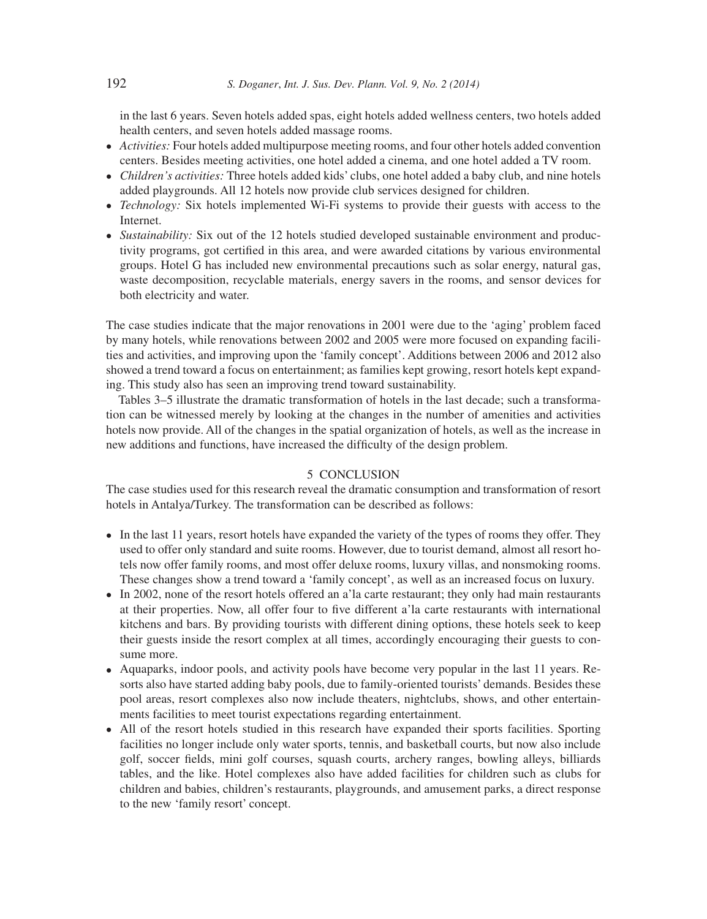in the last 6 years. Seven hotels added spas, eight hotels added wellness centers, two hotels added health centers, and seven hotels added massage rooms.

- *Activities:* Four hotels added multipurpose meeting rooms, and four other hotels added convention centers. Besides meeting activities, one hotel added a cinema, and one hotel added a TV room.
- *Children's activities:* Three hotels added kids' clubs, one hotel added a baby club, and nine hotels added playgrounds. All 12 hotels now provide club services designed for children.
- *Technology:* Six hotels implemented Wi-Fi systems to provide their guests with access to the Internet.
- *Sustainability:* Six out of the 12 hotels studied developed sustainable environment and productivity programs, got certified in this area, and were awarded citations by various environmental groups. Hotel G has included new environmental precautions such as solar energy, natural gas, waste decomposition, recyclable materials, energy savers in the rooms, and sensor devices for both electricity and water.

The case studies indicate that the major renovations in 2001 were due to the 'aging' problem faced by many hotels, while renovations between 2002 and 2005 were more focused on expanding facilities and activities, and improving upon the 'family concept'. Additions between 2006 and 2012 also showed a trend toward a focus on entertainment; as families kept growing, resort hotels kept expanding. This study also has seen an improving trend toward sustainability.

Tables 3–5 illustrate the dramatic transformation of hotels in the last decade; such a transformation can be witnessed merely by looking at the changes in the number of amenities and activities hotels now provide. All of the changes in the spatial organization of hotels, as well as the increase in new additions and functions, have increased the difficulty of the design problem.

#### 5 CONCLUSION

The case studies used for this research reveal the dramatic consumption and transformation of resort hotels in Antalya/Turkey. The transformation can be described as follows:

- In the last 11 years, resort hotels have expanded the variety of the types of rooms they offer. They used to offer only standard and suite rooms. However, due to tourist demand, almost all resort hotels now offer family rooms, and most offer deluxe rooms, luxury villas, and nonsmoking rooms. These changes show a trend toward a 'family concept', as well as an increased focus on luxury.
- In 2002, none of the resort hotels offered an a'la carte restaurant; they only had main restaurants at their properties. Now, all offer four to five different a'la carte restaurants with international kitchens and bars. By providing tourists with different dining options, these hotels seek to keep their guests inside the resort complex at all times, accordingly encouraging their guests to consume more.
- Aquaparks, indoor pools, and activity pools have become very popular in the last 11 years. Resorts also have started adding baby pools, due to family-oriented tourists' demands. Besides these pool areas, resort complexes also now include theaters, nightclubs, shows, and other entertainments facilities to meet tourist expectations regarding entertainment.
- All of the resort hotels studied in this research have expanded their sports facilities. Sporting facilities no longer include only water sports, tennis, and basketball courts, but now also include golf, soccer fields, mini golf courses, squash courts, archery ranges, bowling alleys, billiards tables, and the like. Hotel complexes also have added facilities for children such as clubs for children and babies, children's restaurants, playgrounds, and amusement parks, a direct response to the new 'family resort' concept.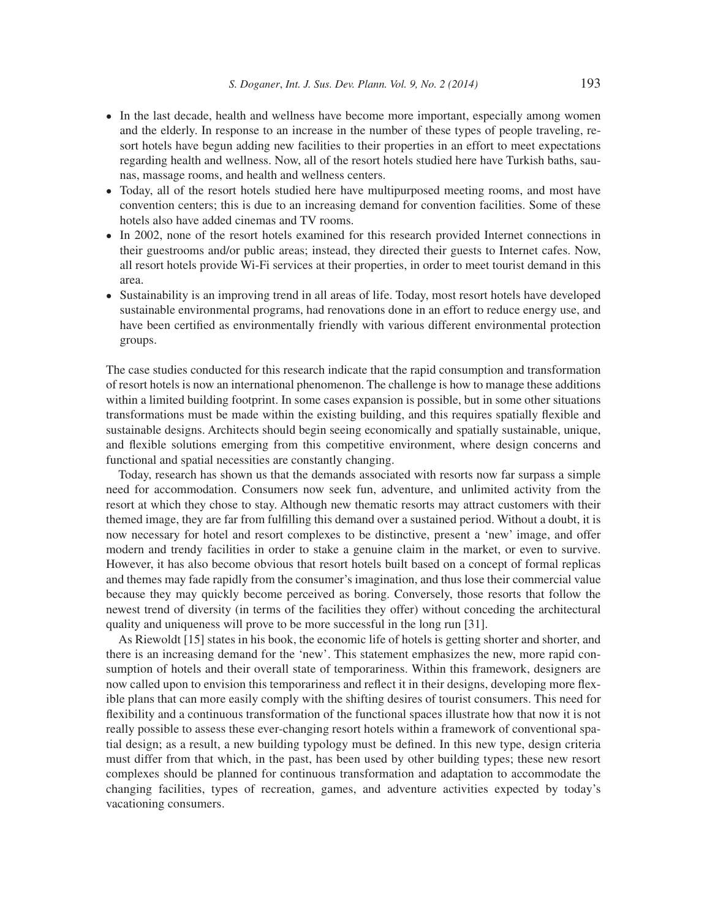- In the last decade, health and wellness have become more important, especially among women and the elderly. In response to an increase in the number of these types of people traveling, resort hotels have begun adding new facilities to their properties in an effort to meet expectations regarding health and wellness. Now, all of the resort hotels studied here have Turkish baths, saunas, massage rooms, and health and wellness centers.
- Today, all of the resort hotels studied here have multipurposed meeting rooms, and most have convention centers; this is due to an increasing demand for convention facilities. Some of these hotels also have added cinemas and TV rooms.
- In 2002, none of the resort hotels examined for this research provided Internet connections in their guestrooms and/or public areas; instead, they directed their guests to Internet cafes. Now, all resort hotels provide Wi-Fi services at their properties, in order to meet tourist demand in this area.
- Sustainability is an improving trend in all areas of life. Today, most resort hotels have developed sustainable environmental programs, had renovations done in an effort to reduce energy use, and have been certified as environmentally friendly with various different environmental protection groups.

The case studies conducted for this research indicate that the rapid consumption and transformation of resort hotels is now an international phenomenon. The challenge is how to manage these additions within a limited building footprint. In some cases expansion is possible, but in some other situations transformations must be made within the existing building, and this requires spatially flexible and sustainable designs. Architects should begin seeing economically and spatially sustainable, unique, and flexible solutions emerging from this competitive environment, where design concerns and functional and spatial necessities are constantly changing.

Today, research has shown us that the demands associated with resorts now far surpass a simple need for accommodation. Consumers now seek fun, adventure, and unlimited activity from the resort at which they chose to stay. Although new thematic resorts may attract customers with their themed image, they are far from fulfilling this demand over a sustained period. Without a doubt, it is now necessary for hotel and resort complexes to be distinctive, present a 'new' image, and offer modern and trendy facilities in order to stake a genuine claim in the market, or even to survive. However, it has also become obvious that resort hotels built based on a concept of formal replicas and themes may fade rapidly from the consumer's imagination, and thus lose their commercial value because they may quickly become perceived as boring. Conversely, those resorts that follow the newest trend of diversity (in terms of the facilities they offer) without conceding the architectural quality and uniqueness will prove to be more successful in the long run [31].

As Riewoldt [15] states in his book, the economic life of hotels is getting shorter and shorter, and there is an increasing demand for the 'new'. This statement emphasizes the new, more rapid consumption of hotels and their overall state of temporariness. Within this framework, designers are now called upon to envision this temporariness and reflect it in their designs, developing more flexible plans that can more easily comply with the shifting desires of tourist consumers. This need for flexibility and a continuous transformation of the functional spaces illustrate how that now it is not really possible to assess these ever-changing resort hotels within a framework of conventional spatial design; as a result, a new building typology must be defined. In this new type, design criteria must differ from that which, in the past, has been used by other building types; these new resort complexes should be planned for continuous transformation and adaptation to accommodate the changing facilities, types of recreation, games, and adventure activities expected by today's vacationing consumers.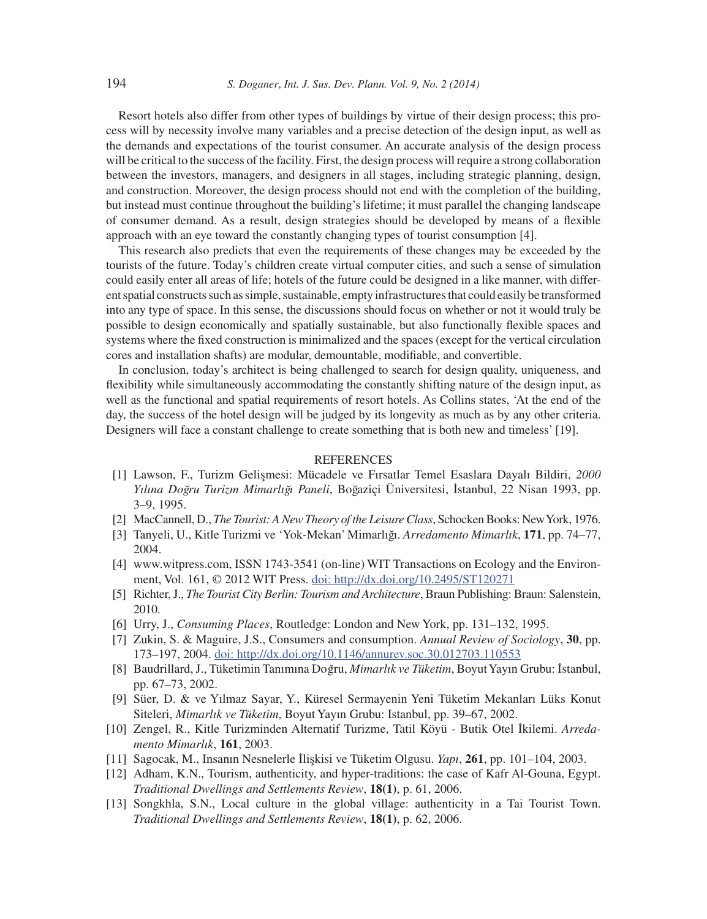Resort hotels also differ from other types of buildings by virtue of their design process; this process will by necessity involve many variables and a precise detection of the design input, as well as the demands and expectations of the tourist consumer. An accurate analysis of the design process will be critical to the success of the facility. First, the design process will require a strong collaboration between the investors, managers, and designers in all stages, including strategic planning, design, and construction. Moreover, the design process should not end with the completion of the building, but instead must continue throughout the building's lifetime; it must parallel the changing landscape of consumer demand. As a result, design strategies should be developed by means of a flexible approach with an eye toward the constantly changing types of tourist consumption [4].

This research also predicts that even the requirements of these changes may be exceeded by the tourists of the future. Today's children create virtual computer cities, and such a sense of simulation could easily enter all areas of life; hotels of the future could be designed in a like manner, with different spatial constructs such as simple, sustainable, empty infrastructures that could easily be transformed into any type of space. In this sense, the discussions should focus on whether or not it would truly be possible to design economically and spatially sustainable, but also functionally flexible spaces and systems where the fixed construction is minimalized and the spaces (except for the vertical circulation cores and installation shafts) are modular, demountable, modifiable, and convertible.

In conclusion, today's architect is being challenged to search for design quality, uniqueness, and flexibility while simultaneously accommodating the constantly shifting nature of the design input, as well as the functional and spatial requirements of resort hotels. As Collins states, 'At the end of the day, the success of the hotel design will be judged by its longevity as much as by any other criteria. Designers will face a constant challenge to create something that is both new and timeless' [19].

#### **REFERENCES**

- [1] Lawson, F., Turizm Gelis¸mesi: Mücadele ve Fırsatlar Temel Esaslara Dayalı Bildiri, *2000 Yılına Dog˘ru Turizm Mimarlıg˘ı Paneli*, Bog˘aziçi Üniversitesi, I˙stanbul, 22 Nisan 1993, pp. 3–9, 1995.
- [2] MacCannell, D., *The Tourist: A New Theory of the Leisure Class*, Schocken Books: New York, 1976.
- [3] Tanyeli, U., Kitle Turizmi ve 'Yok-Mekan' Mimarlıg˘ı. *Arredamento Mimarlık*, **171**, pp. 74–77, 2004.
- [4] www.witpress.com, ISSN 1743-3541 (on-line) WIT Transactions on Ecology and the Environment, Vol. 161, © 2012 WIT Press. doi: http://dx.doi.org/10.2495/ST120271
- [5] Richter, J., *The Tourist City Berlin: Tourism and Architecture*, Braun Publishing: Braun: Salenstein, 2010.
- [6] Urry, J., *Consuming Places*, Routledge: London and New York, pp. 131–132, 1995.
- [7] Zukin, S. & Maguire, J.S., Consumers and consumption. *Annual Review of Sociology*, **30**, pp. 173–197, 2004. doi: http://dx.doi.org/10.1146/annurev.soc.30.012703.110553
- [8] Baudrillard, J., Tüketimin Tanımına Dog˘ru, *Mimarlık ve Tüketim*, Boyut Yayın Grubu: I˙stanbul, pp. 67–73, 2002.
- [9] Süer, D. & ve Yılmaz Sayar, Y., Küresel Sermayenin Yeni Tüketim Mekanları Lüks Konut Siteleri, *Mimarlık ve Tüketim*, Boyut Yayın Grubu: Istanbul, pp. 39–67, 2002.
- [10] Zengel, R., Kitle Turizminden Alternatif Turizme, Tatil Köyü Butik Otel I˙kilemi. *Arredamento Mimarlık*, **161**, 2003.
- [11] Sagocak, M., Insanın Nesnelerle I˙lis¸kisi ve Tüketim Olgusu. *Yapı*, **261**, pp. 101–104, 2003.
- [12] Adham, K.N., Tourism, authenticity, and hyper-traditions: the case of Kafr Al-Gouna, Egypt. *Traditional Dwellings and Settlements Review*, **18(1)**, p. 61, 2006.
- [13] Songkhla, S.N., Local culture in the global village: authenticity in a Tai Tourist Town. *Traditional Dwellings and Settlements Review*, **18(1)**, p. 62, 2006.